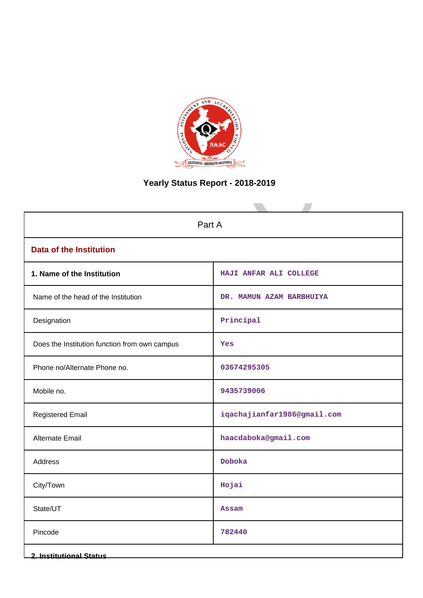

# **Yearly Status Report - 2018-2019**

| Part A                                        |                                 |  |  |  |  |  |
|-----------------------------------------------|---------------------------------|--|--|--|--|--|
| <b>Data of the Institution</b>                |                                 |  |  |  |  |  |
| 1. Name of the Institution                    | HAJI ANFAR ALI COLLEGE          |  |  |  |  |  |
| Name of the head of the Institution           | DR. MAMUN AZAM BARBHUIYA        |  |  |  |  |  |
| Designation                                   | $\ensuremath{\text{Principal}}$ |  |  |  |  |  |
| Does the Institution function from own campus | <b>Yes</b>                      |  |  |  |  |  |
| Phone no/Alternate Phone no.                  | 03674295305                     |  |  |  |  |  |
| Mobile no.                                    | 9435739006                      |  |  |  |  |  |
| <b>Registered Email</b>                       | iqachajianfar1986@gmail.com     |  |  |  |  |  |
| <b>Alternate Email</b>                        | haacdaboka@gmail.com            |  |  |  |  |  |
| Address                                       | Doboka                          |  |  |  |  |  |
| City/Town                                     | Hojai                           |  |  |  |  |  |
| State/UT                                      | <b>Assam</b>                    |  |  |  |  |  |
| Pincode                                       | 782440                          |  |  |  |  |  |
| <b>2. Institutional Status</b>                |                                 |  |  |  |  |  |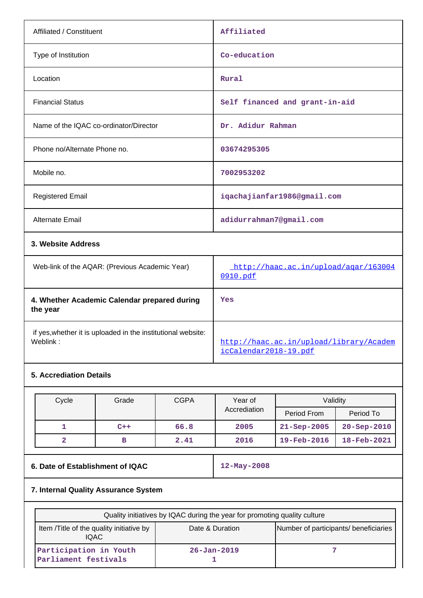| Affiliated / Constituent                       | Affiliated                                       |  |  |
|------------------------------------------------|--------------------------------------------------|--|--|
| Type of Institution                            | Co-education                                     |  |  |
| Location                                       | Rural                                            |  |  |
| <b>Financial Status</b>                        | Self financed and grant-in-aid                   |  |  |
| Name of the IQAC co-ordinator/Director         | Dr. Adidur Rahman                                |  |  |
| Phone no/Alternate Phone no.                   | 03674295305                                      |  |  |
| Mobile no.                                     | 7002953202                                       |  |  |
| <b>Registered Email</b>                        | iqachajianfar1986@gmail.com                      |  |  |
| <b>Alternate Email</b>                         | adidurrahman7@gmail.com                          |  |  |
| 3. Website Address                             |                                                  |  |  |
| Web-link of the AQAR: (Previous Academic Year) | http://haac.ac.in/upload/agar/163004<br>0910.pdf |  |  |
|                                                |                                                  |  |  |

| 4. Whether Academic Calendar prepared during<br>the year     | Yes                                     |
|--------------------------------------------------------------|-----------------------------------------|
| if yes, whether it is uploaded in the institutional website: | http://haac.ac.in/upload/library/Academ |
| Weblink:                                                     | icCalendar2018-19.pdf                   |

# **5. Accrediation Details**

| Cycle | Grade | <b>CGPA</b> | Year of      | Validity                 |                   |
|-------|-------|-------------|--------------|--------------------------|-------------------|
|       |       |             | Accrediation | Period From              | Period To         |
|       | $C++$ | 66.8        | 2005         | $21 - Sep - 2005$        | $20 - Sep - 2010$ |
|       | в     | 2.41        | 2016         | $19 - \text{Feb} - 2016$ | 18-Feb-2021       |

# **6. Date of Establishment of IQAC** 12-May-2008

# **7. Internal Quality Assurance System**

| Quality initiatives by IQAC during the year for promoting quality culture                                           |                   |  |  |  |
|---------------------------------------------------------------------------------------------------------------------|-------------------|--|--|--|
| Number of participants/ beneficiaries<br>Item /Title of the quality initiative by<br>Date & Duration<br><b>IQAC</b> |                   |  |  |  |
| Participation in Youth<br>Parliament festivals                                                                      | $26 - Jan - 2019$ |  |  |  |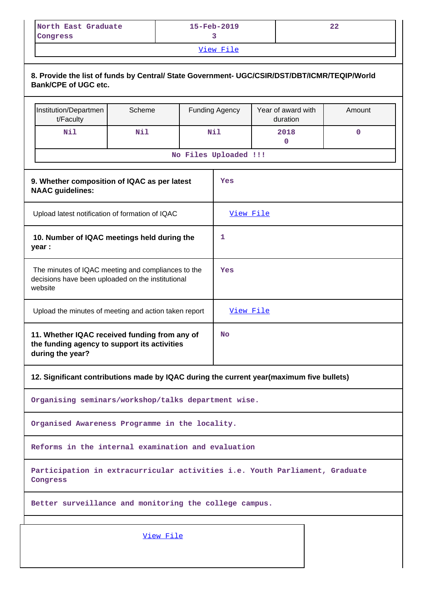| North East Graduate<br>Congress | $15 - \text{Feb} - 2019$ | 22 |  |  |  |
|---------------------------------|--------------------------|----|--|--|--|
| $V_i \sim W$ File               |                          |    |  |  |  |

|                                                                                                                    | 8. Provide the list of funds by Central/ State Government- UGC/CSIR/DST/DBT/ICMR/TEQIP/World<br><b>Bank/CPE of UGC etc.</b> |        |           |                       |                                |          |  |
|--------------------------------------------------------------------------------------------------------------------|-----------------------------------------------------------------------------------------------------------------------------|--------|-----------|-----------------------|--------------------------------|----------|--|
|                                                                                                                    | Institution/Departmen<br>t/Faculty                                                                                          | Scheme |           | <b>Funding Agency</b> | Year of award with<br>duration | Amount   |  |
|                                                                                                                    | Nil                                                                                                                         | Nil    |           | Nil                   | 2018<br>0                      | $\Omega$ |  |
|                                                                                                                    |                                                                                                                             |        |           | No Files Uploaded !!! |                                |          |  |
|                                                                                                                    | 9. Whether composition of IQAC as per latest<br>Yes<br><b>NAAC</b> guidelines:                                              |        |           |                       |                                |          |  |
| Upload latest notification of formation of IQAC                                                                    |                                                                                                                             |        | View File |                       |                                |          |  |
| 10. Number of IQAC meetings held during the<br>year :                                                              |                                                                                                                             |        |           | 1                     |                                |          |  |
| The minutes of IQAC meeting and compliances to the<br>decisions have been uploaded on the institutional<br>website |                                                                                                                             |        |           | Yes                   |                                |          |  |
| Upload the minutes of meeting and action taken report                                                              |                                                                                                                             |        |           | View File             |                                |          |  |
| 11. Whether IQAC received funding from any of<br>the funding agency to support its activities<br>during the year?  |                                                                                                                             |        | <b>No</b> |                       |                                |          |  |
|                                                                                                                    |                                                                                                                             |        |           |                       |                                |          |  |

# **12. Significant contributions made by IQAC during the current year(maximum five bullets)**

**Organising seminars/workshop/talks department wise.**

**Organised Awareness Programme in the locality.**

**Reforms in the internal examination and evaluation**

**Participation in extracurricular activities i.e. Youth Parliament, Graduate Congress**

**Better surveillance and monitoring the college campus.**

[View File](https://assessmentonline.naac.gov.in/public/Postacc/Contribution/13212_Contribution.xlsx)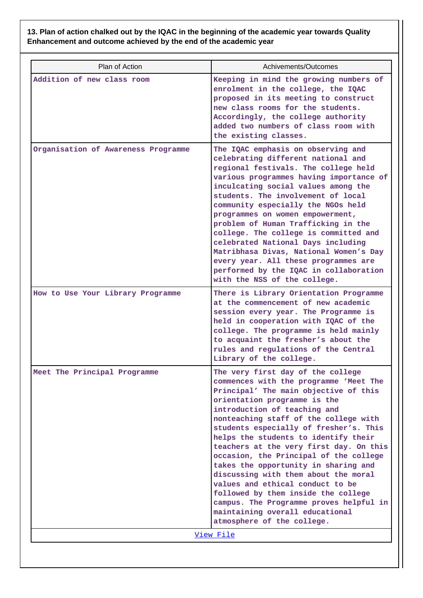### **13. Plan of action chalked out by the IQAC in the beginning of the academic year towards Quality Enhancement and outcome achieved by the end of the academic year**

| Plan of Action                      | Achivements/Outcomes                                                                                                                                                                                                                                                                                                                                                                                                                                                                                                                                                                                                                          |
|-------------------------------------|-----------------------------------------------------------------------------------------------------------------------------------------------------------------------------------------------------------------------------------------------------------------------------------------------------------------------------------------------------------------------------------------------------------------------------------------------------------------------------------------------------------------------------------------------------------------------------------------------------------------------------------------------|
| Addition of new class room          | Keeping in mind the growing numbers of<br>enrolment in the college, the IQAC<br>proposed in its meeting to construct<br>new class rooms for the students.<br>Accordingly, the college authority<br>added two numbers of class room with<br>the existing classes.                                                                                                                                                                                                                                                                                                                                                                              |
| Organisation of Awareness Programme | The IQAC emphasis on observing and<br>celebrating different national and<br>regional festivals. The college held<br>various programmes having importance of<br>inculcating social values among the<br>students. The involvement of local<br>community especially the NGOs held<br>programmes on women empowerment,<br>problem of Human Trafficking in the<br>college. The college is committed and<br>celebrated National Days including<br>Matribhasa Divas, National Women's Day<br>every year. All these programmes are<br>performed by the IQAC in collaboration<br>with the NSS of the college.                                          |
| How to Use Your Library Programme   | There is Library Orientation Programme<br>at the commencement of new academic<br>session every year. The Programme is<br>held in cooperation with IQAC of the<br>college. The programme is held mainly<br>to acquaint the fresher's about the<br>rules and regulations of the Central<br>Library of the college.                                                                                                                                                                                                                                                                                                                              |
| Meet The Principal Programme        | The very first day of the college<br>commences with the programme 'Meet The<br>Principal' The main objective of this<br>orientation programme is the<br>introduction of teaching and<br>nonteaching staff of the college with<br>students especially of fresher's. This<br>helps the students to identify their<br>teachers at the very first day. On this<br>occasion, the Principal of the college<br>takes the opportunity in sharing and<br>discussing with them about the moral<br>values and ethical conduct to be<br>followed by them inside the college<br>campus. The Programme proves helpful in<br>maintaining overall educational |
|                                     | atmosphere of the college.                                                                                                                                                                                                                                                                                                                                                                                                                                                                                                                                                                                                                    |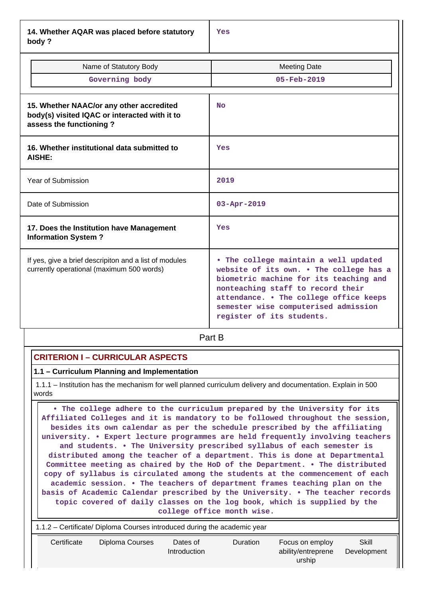**14. Whether AQAR was placed before statutory body ?**

| Name of Statutory Body<br>Governing body                                                                             | <b>Meeting Date</b><br>$05 - \text{Feb} - 2019$                                                                                                                                                                                                                                |  |  |  |
|----------------------------------------------------------------------------------------------------------------------|--------------------------------------------------------------------------------------------------------------------------------------------------------------------------------------------------------------------------------------------------------------------------------|--|--|--|
| 15. Whether NAAC/or any other accredited<br>body(s) visited IQAC or interacted with it to<br>assess the functioning? | <b>No</b>                                                                                                                                                                                                                                                                      |  |  |  |
| 16. Whether institutional data submitted to<br>AISHE:                                                                | Yes                                                                                                                                                                                                                                                                            |  |  |  |
| Year of Submission                                                                                                   | 2019                                                                                                                                                                                                                                                                           |  |  |  |
| Date of Submission                                                                                                   | $03 - Apr - 2019$                                                                                                                                                                                                                                                              |  |  |  |
| 17. Does the Institution have Management<br><b>Information System?</b>                                               | Yes                                                                                                                                                                                                                                                                            |  |  |  |
| If yes, give a brief descripiton and a list of modules<br>currently operational (maximum 500 words)                  | • The college maintain a well updated<br>website of its own. . The college has a<br>biometric machine for its teaching and<br>nonteaching staff to record their<br>attendance. . The college office keeps<br>semester wise computerised admission<br>register of its students. |  |  |  |

**Part B** 

# **CRITERION I – CURRICULAR ASPECTS**

### **1.1 – Curriculum Planning and Implementation**

 1.1.1 – Institution has the mechanism for well planned curriculum delivery and documentation. Explain in 500 words

 **• The college adhere to the curriculum prepared by the University for its Affiliated Colleges and it is mandatory to be followed throughout the session, besides its own calendar as per the schedule prescribed by the affiliating university. • Expert lecture programmes are held frequently involving teachers and students. • The University prescribed syllabus of each semester is distributed among the teacher of a department. This is done at Departmental Committee meeting as chaired by the HoD of the Department. • The distributed copy of syllabus is circulated among the students at the commencement of each academic session. • The teachers of department frames teaching plan on the basis of Academic Calendar prescribed by the University. • The teacher records topic covered of daily classes on the log book, which is supplied by the college office month wise.**

#### 1.1.2 – Certificate/ Diploma Courses introduced during the academic year

| Certificate     | Skill              |
|-----------------|--------------------|
| Diploma Courses | Focus on employ    |
| Dates of        | ability/entreprene |
| <b>Duration</b> | Development        |
| Introduction    | urship             |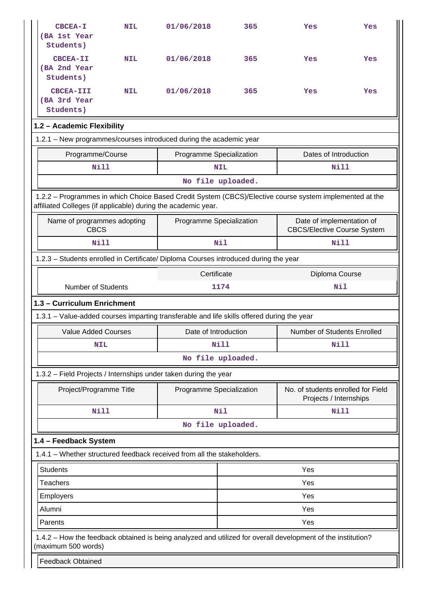| <b>CBCEA-I</b><br>(BA 1st Year<br>Students)                                                | <b>NIL</b>        | 01/06/2018                                                                                                   | 365  | Yes                                                             | Yes |  |
|--------------------------------------------------------------------------------------------|-------------------|--------------------------------------------------------------------------------------------------------------|------|-----------------------------------------------------------------|-----|--|
| <b>CBCEA-II</b><br>(BA 2nd Year<br>Students)                                               | <b>NIL</b>        | 01/06/2018                                                                                                   | 365  | Yes                                                             | Yes |  |
| CBCEA-III<br>(BA 3rd Year<br>Students)                                                     | <b>NIL</b>        | 01/06/2018                                                                                                   | 365  | Yes                                                             | Yes |  |
| 1.2 - Academic Flexibility                                                                 |                   |                                                                                                              |      |                                                                 |     |  |
|                                                                                            |                   | 1.2.1 - New programmes/courses introduced during the academic year                                           |      |                                                                 |     |  |
| Programme/Course                                                                           |                   | Programme Specialization                                                                                     |      | Dates of Introduction                                           |     |  |
| <b>Nill</b>                                                                                |                   | <b>NIL</b>                                                                                                   |      | <b>Nill</b>                                                     |     |  |
|                                                                                            |                   | No file uploaded.                                                                                            |      |                                                                 |     |  |
| affiliated Colleges (if applicable) during the academic year.                              |                   | 1.2.2 - Programmes in which Choice Based Credit System (CBCS)/Elective course system implemented at the      |      |                                                                 |     |  |
| Name of programmes adopting<br><b>CBCS</b>                                                 |                   | Programme Specialization                                                                                     |      | Date of implementation of<br><b>CBCS/Elective Course System</b> |     |  |
| <b>Nill</b>                                                                                |                   | <b>Nil</b>                                                                                                   |      | <b>Nill</b>                                                     |     |  |
|                                                                                            |                   | 1.2.3 - Students enrolled in Certificate/ Diploma Courses introduced during the year                         |      |                                                                 |     |  |
| Certificate<br>Diploma Course                                                              |                   |                                                                                                              |      |                                                                 |     |  |
| <b>Number of Students</b>                                                                  |                   |                                                                                                              | 1174 |                                                                 | Nil |  |
| 1.3 - Curriculum Enrichment                                                                |                   |                                                                                                              |      |                                                                 |     |  |
| 1.3.1 - Value-added courses imparting transferable and life skills offered during the year |                   |                                                                                                              |      |                                                                 |     |  |
| <b>Value Added Courses</b>                                                                 |                   | Date of Introduction                                                                                         |      | Number of Students Enrolled                                     |     |  |
| NIL                                                                                        |                   | <b>Nill</b>                                                                                                  |      | Nill                                                            |     |  |
|                                                                                            | No file uploaded. |                                                                                                              |      |                                                                 |     |  |
|                                                                                            |                   | 1.3.2 - Field Projects / Internships under taken during the year                                             |      |                                                                 |     |  |
| Project/Programme Title                                                                    |                   | Programme Specialization                                                                                     |      | No. of students enrolled for Field<br>Projects / Internships    |     |  |
| Nill                                                                                       |                   | Nil                                                                                                          |      | Nill                                                            |     |  |
|                                                                                            |                   | No file uploaded.                                                                                            |      |                                                                 |     |  |
| 1.4 - Feedback System                                                                      |                   |                                                                                                              |      |                                                                 |     |  |
|                                                                                            |                   | 1.4.1 - Whether structured feedback received from all the stakeholders.                                      |      |                                                                 |     |  |
| <b>Students</b>                                                                            |                   |                                                                                                              |      | Yes                                                             |     |  |
| <b>Teachers</b>                                                                            |                   |                                                                                                              |      | Yes                                                             |     |  |
| Employers                                                                                  |                   |                                                                                                              |      | Yes                                                             |     |  |
| Alumni                                                                                     |                   |                                                                                                              |      | Yes                                                             |     |  |
| Parents                                                                                    |                   |                                                                                                              |      | Yes                                                             |     |  |
| (maximum 500 words)                                                                        |                   | 1.4.2 - How the feedback obtained is being analyzed and utilized for overall development of the institution? |      |                                                                 |     |  |
| <b>Feedback Obtained</b>                                                                   |                   |                                                                                                              |      |                                                                 |     |  |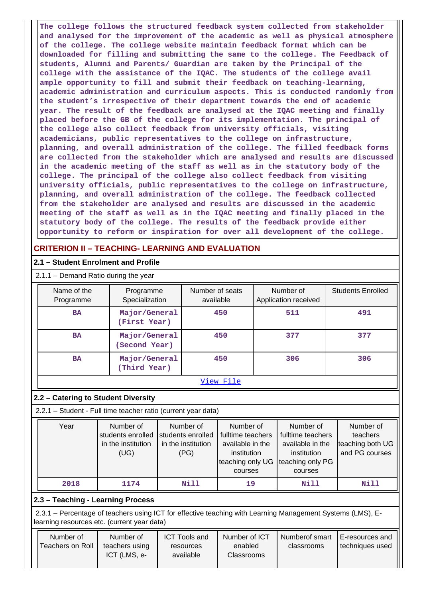**The college follows the structured feedback system collected from stakeholder and analysed for the improvement of the academic as well as physical atmosphere of the college. The college website maintain feedback format which can be downloaded for filling and submitting the same to the college. The Feedback of students, Alumni and Parents/ Guardian are taken by the Principal of the college with the assistance of the IQAC. The students of the college avail ample opportunity to fill and submit their feedback on teaching-learning, academic administration and curriculum aspects. This is conducted randomly from the student's irrespective of their department towards the end of academic year. The result of the feedback are analysed at the IQAC meeting and finally placed before the GB of the college for its implementation. The principal of the college also collect feedback from university officials, visiting academicians, public representatives to the college on infrastructure, planning, and overall administration of the college. The filled feedback forms are collected from the stakeholder which are analysed and results are discussed in the academic meeting of the staff as well as in the statutory body of the college. The principal of the college also collect feedback from visiting university officials, public representatives to the college on infrastructure, planning, and overall administration of the college. The feedback collected from the stakeholder are analysed and results are discussed in the academic meeting of the staff as well as in the IQAC meeting and finally placed in the statutory body of the college. The results of the feedback provide either opportunity to reform or inspiration for over all development of the college.**

# **CRITERION II – TEACHING- LEARNING AND EVALUATION**

### **2.1 – Student Enrolment and Profile**

2.1.1 – Demand Ratio during the year

|  | Name of the<br>Programme                                                                                                                                  | Programme<br>Specialization                                  |                                                              | Number of seats<br>available                   |                                                                                                  | Number of<br>Application received |                                                                                                  | <b>Students Enrolled</b>                                    |
|--|-----------------------------------------------------------------------------------------------------------------------------------------------------------|--------------------------------------------------------------|--------------------------------------------------------------|------------------------------------------------|--------------------------------------------------------------------------------------------------|-----------------------------------|--------------------------------------------------------------------------------------------------|-------------------------------------------------------------|
|  | <b>BA</b>                                                                                                                                                 | Major/General<br>(First Year)                                |                                                              | 450                                            |                                                                                                  |                                   | 511                                                                                              | 491                                                         |
|  | <b>BA</b>                                                                                                                                                 |                                                              | Major/General<br>(Second Year)                               |                                                | 450                                                                                              |                                   | 377                                                                                              | 377                                                         |
|  | <b>BA</b>                                                                                                                                                 | Major/General<br>(Third Year)                                |                                                              |                                                | 450                                                                                              |                                   | 306                                                                                              | 306                                                         |
|  |                                                                                                                                                           |                                                              |                                                              |                                                | View File                                                                                        |                                   |                                                                                                  |                                                             |
|  | 2.2 - Catering to Student Diversity                                                                                                                       |                                                              |                                                              |                                                |                                                                                                  |                                   |                                                                                                  |                                                             |
|  | 2.2.1 - Student - Full time teacher ratio (current year data)                                                                                             |                                                              |                                                              |                                                |                                                                                                  |                                   |                                                                                                  |                                                             |
|  | Year                                                                                                                                                      | Number of<br>students enrolled<br>in the institution<br>(UG) | Number of<br>students enrolled<br>in the institution<br>(PG) |                                                | Number of<br>fulltime teachers<br>available in the<br>institution<br>teaching only UG<br>courses |                                   | Number of<br>fulltime teachers<br>available in the<br>institution<br>teaching only PG<br>courses | Number of<br>teachers<br>teaching both UG<br>and PG courses |
|  | 2018                                                                                                                                                      | 1174                                                         |                                                              | <b>Nill</b>                                    | 19                                                                                               |                                   | Nill                                                                                             | Nill                                                        |
|  | 2.3 - Teaching - Learning Process                                                                                                                         |                                                              |                                                              |                                                |                                                                                                  |                                   |                                                                                                  |                                                             |
|  | 2.3.1 – Percentage of teachers using ICT for effective teaching with Learning Management Systems (LMS), E-<br>learning resources etc. (current year data) |                                                              |                                                              |                                                |                                                                                                  |                                   |                                                                                                  |                                                             |
|  | Number of<br><b>Teachers on Roll</b>                                                                                                                      | Number of<br>teachers using<br>ICT (LMS, e-                  |                                                              | <b>ICT Tools and</b><br>resources<br>available | Number of ICT<br>enabled<br>Classrooms                                                           |                                   | Numberof smart<br>classrooms                                                                     | E-resources and<br>techniques used                          |

H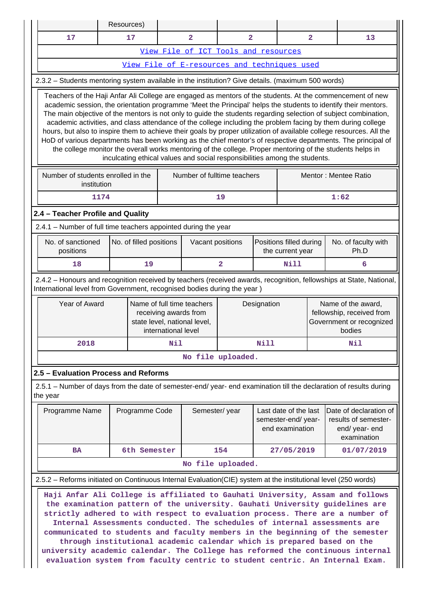|                                                                                                                                                                                                                                                                                                                                                                                                                                                                                                                                                                                                                                                                                                                                                                                                                                                                                                    | Resources) |                         |                     |                                                                                     |                                              |             |                                                                |                |                                                                                                                    |
|----------------------------------------------------------------------------------------------------------------------------------------------------------------------------------------------------------------------------------------------------------------------------------------------------------------------------------------------------------------------------------------------------------------------------------------------------------------------------------------------------------------------------------------------------------------------------------------------------------------------------------------------------------------------------------------------------------------------------------------------------------------------------------------------------------------------------------------------------------------------------------------------------|------------|-------------------------|---------------------|-------------------------------------------------------------------------------------|----------------------------------------------|-------------|----------------------------------------------------------------|----------------|--------------------------------------------------------------------------------------------------------------------|
| 17                                                                                                                                                                                                                                                                                                                                                                                                                                                                                                                                                                                                                                                                                                                                                                                                                                                                                                 |            | 17                      |                     | 2                                                                                   | 2                                            |             |                                                                | $\overline{2}$ | 13                                                                                                                 |
|                                                                                                                                                                                                                                                                                                                                                                                                                                                                                                                                                                                                                                                                                                                                                                                                                                                                                                    |            |                         |                     |                                                                                     | View File of ICT Tools and resources         |             |                                                                |                |                                                                                                                    |
|                                                                                                                                                                                                                                                                                                                                                                                                                                                                                                                                                                                                                                                                                                                                                                                                                                                                                                    |            |                         |                     |                                                                                     | View File of E-resources and techniques used |             |                                                                |                |                                                                                                                    |
| 2.3.2 - Students mentoring system available in the institution? Give details. (maximum 500 words)                                                                                                                                                                                                                                                                                                                                                                                                                                                                                                                                                                                                                                                                                                                                                                                                  |            |                         |                     |                                                                                     |                                              |             |                                                                |                |                                                                                                                    |
| Teachers of the Haji Anfar Ali College are engaged as mentors of the students. At the commencement of new<br>academic session, the orientation programme 'Meet the Principal' helps the students to identify their mentors.<br>The main objective of the mentors is not only to guide the students regarding selection of subject combination,<br>academic activities, and class attendance of the college including the problem facing by them during college<br>hours, but also to inspire them to achieve their goals by proper utilization of available college resources. All the<br>HoD of various departments has been working as the chief mentor's of respective departments. The principal of<br>the college monitor the overall works mentoring of the college. Proper mentoring of the students helps in<br>inculcating ethical values and social responsibilities among the students. |            |                         |                     |                                                                                     |                                              |             |                                                                |                |                                                                                                                    |
| Number of students enrolled in the<br>institution                                                                                                                                                                                                                                                                                                                                                                                                                                                                                                                                                                                                                                                                                                                                                                                                                                                  |            |                         |                     |                                                                                     | Number of fulltime teachers                  |             |                                                                |                | Mentor: Mentee Ratio                                                                                               |
|                                                                                                                                                                                                                                                                                                                                                                                                                                                                                                                                                                                                                                                                                                                                                                                                                                                                                                    | 1174       |                         |                     |                                                                                     | 19                                           |             |                                                                |                | 1:62                                                                                                               |
| 2.4 - Teacher Profile and Quality                                                                                                                                                                                                                                                                                                                                                                                                                                                                                                                                                                                                                                                                                                                                                                                                                                                                  |            |                         |                     |                                                                                     |                                              |             |                                                                |                |                                                                                                                    |
| 2.4.1 - Number of full time teachers appointed during the year                                                                                                                                                                                                                                                                                                                                                                                                                                                                                                                                                                                                                                                                                                                                                                                                                                     |            |                         |                     |                                                                                     |                                              |             |                                                                |                |                                                                                                                    |
| No. of sanctioned<br>positions                                                                                                                                                                                                                                                                                                                                                                                                                                                                                                                                                                                                                                                                                                                                                                                                                                                                     |            | No. of filled positions |                     | Vacant positions                                                                    |                                              |             | Positions filled during<br>the current year                    |                | No. of faculty with<br>Ph.D                                                                                        |
| 18                                                                                                                                                                                                                                                                                                                                                                                                                                                                                                                                                                                                                                                                                                                                                                                                                                                                                                 |            | 19                      |                     |                                                                                     | $\overline{a}$                               | <b>Nill</b> |                                                                |                | 6                                                                                                                  |
| International level from Government, recognised bodies during the year)<br>Year of Award                                                                                                                                                                                                                                                                                                                                                                                                                                                                                                                                                                                                                                                                                                                                                                                                           |            |                         | international level | Name of full time teachers<br>receiving awards from<br>state level, national level, |                                              | Designation |                                                                |                | Name of the award,<br>fellowship, received from<br>Government or recognized<br>bodies                              |
| 2018                                                                                                                                                                                                                                                                                                                                                                                                                                                                                                                                                                                                                                                                                                                                                                                                                                                                                               |            |                         | Nil                 |                                                                                     |                                              | Nill        |                                                                |                | Nil                                                                                                                |
|                                                                                                                                                                                                                                                                                                                                                                                                                                                                                                                                                                                                                                                                                                                                                                                                                                                                                                    |            |                         |                     |                                                                                     | No file uploaded.                            |             |                                                                |                |                                                                                                                    |
| 2.5 - Evaluation Process and Reforms                                                                                                                                                                                                                                                                                                                                                                                                                                                                                                                                                                                                                                                                                                                                                                                                                                                               |            |                         |                     |                                                                                     |                                              |             |                                                                |                |                                                                                                                    |
| the year                                                                                                                                                                                                                                                                                                                                                                                                                                                                                                                                                                                                                                                                                                                                                                                                                                                                                           |            |                         |                     |                                                                                     |                                              |             |                                                                |                | 2.5.1 – Number of days from the date of semester-end/ year- end examination till the declaration of results during |
| Programme Name                                                                                                                                                                                                                                                                                                                                                                                                                                                                                                                                                                                                                                                                                                                                                                                                                                                                                     |            | Programme Code          |                     |                                                                                     | Semester/year                                |             | Last date of the last<br>semester-end/year-<br>end examination |                | Date of declaration of<br>results of semester-<br>end/ year- end<br>examination                                    |
| <b>BA</b>                                                                                                                                                                                                                                                                                                                                                                                                                                                                                                                                                                                                                                                                                                                                                                                                                                                                                          |            | 6th Semester            |                     |                                                                                     | 154                                          |             | 27/05/2019                                                     |                | 01/07/2019                                                                                                         |
|                                                                                                                                                                                                                                                                                                                                                                                                                                                                                                                                                                                                                                                                                                                                                                                                                                                                                                    |            |                         |                     |                                                                                     | No file uploaded.                            |             |                                                                |                |                                                                                                                    |
|                                                                                                                                                                                                                                                                                                                                                                                                                                                                                                                                                                                                                                                                                                                                                                                                                                                                                                    |            |                         |                     |                                                                                     |                                              |             |                                                                |                |                                                                                                                    |
| 2.5.2 – Reforms initiated on Continuous Internal Evaluation (CIE) system at the institutional level (250 words)<br>Haji Anfar Ali College is affiliated to Gauhati University, Assam and follows<br>the examination pattern of the university. Gauhati University guidelines are<br>strictly adhered to with respect to evaluation process. There are a number of<br>Internal Assessments conducted. The schedules of internal assessments are<br>communicated to students and faculty members in the beginning of the semester<br>through institutional academic calendar which is prepared based on the<br>university academic calendar. The College has reformed the continuous internal<br>evaluation system from faculty centric to student centric. An Internal Exam.                                                                                                                        |            |                         |                     |                                                                                     |                                              |             |                                                                |                |                                                                                                                    |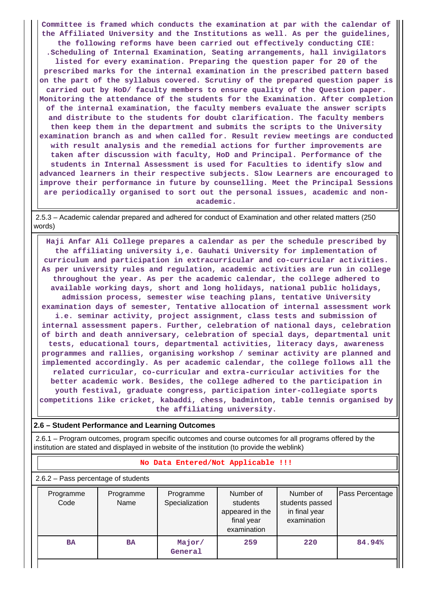**Committee is framed which conducts the examination at par with the calendar of the Affiliated University and the Institutions as well. As per the guidelines, the following reforms have been carried out effectively conducting CIE: .Scheduling of Internal Examination, Seating arrangements, hall invigilators listed for every examination. Preparing the question paper for 20 of the prescribed marks for the internal examination in the prescribed pattern based on the part of the syllabus covered. Scrutiny of the prepared question paper is carried out by HoD/ faculty members to ensure quality of the Question paper. Monitoring the attendance of the students for the Examination. After completion of the internal examination, the faculty members evaluate the answer scripts and distribute to the students for doubt clarification. The faculty members then keep them in the department and submits the scripts to the University examination branch as and when called for. Result review meetings are conducted with result analysis and the remedial actions for further improvements are taken after discussion with faculty, HoD and Principal. Performance of the students in Internal Assessment is used for Faculties to identify slow and advanced learners in their respective subjects. Slow Learners are encouraged to improve their performance in future by counselling. Meet the Principal Sessions are periodically organised to sort out the personal issues, academic and nonacademic.**

 2.5.3 – Academic calendar prepared and adhered for conduct of Examination and other related matters (250 words)

 **Haji Anfar Ali College prepares a calendar as per the schedule prescribed by the affiliating university i,e. Gauhati University for implementation of curriculum and participation in extracurricular and co-curricular activities. As per university rules and regulation, academic activities are run in college throughout the year. As per the academic calendar, the college adhered to available working days, short and long holidays, national public holidays, admission process, semester wise teaching plans, tentative University examination days of semester, Tentative allocation of internal assessment work i.e. seminar activity, project assignment, class tests and submission of internal assessment papers. Further, celebration of national days, celebration of birth and death anniversary, celebration of special days, departmental unit tests, educational tours, departmental activities, literacy days, awareness programmes and rallies, organising workshop / seminar activity are planned and implemented accordingly. As per academic calendar, the college follows all the related curricular, co-curricular and extra-curricular activities for the better academic work. Besides, the college adhered to the participation in youth festival, graduate congress, participation inter-collegiate sports competitions like cricket, kabaddi, chess, badminton, table tennis organised by the affiliating university.**

#### **2.6 – Student Performance and Learning Outcomes**

 2.6.1 – Program outcomes, program specific outcomes and course outcomes for all programs offered by the institution are stated and displayed in website of the institution (to provide the weblink)

#### **No Data Entered/Not Applicable !!!**

2.6.2 – Pass percentage of students

| Programme<br>Code | Programme<br>Name | Programme<br>Specialization | Number of<br>students<br>appeared in the<br>final year<br>examination | Number of<br>students passed<br>in final year<br>examination | Pass Percentage |
|-------------------|-------------------|-----------------------------|-----------------------------------------------------------------------|--------------------------------------------------------------|-----------------|
| <b>BA</b>         | <b>BA</b>         | Major/<br>General           | 259                                                                   | 220                                                          | 84.94%          |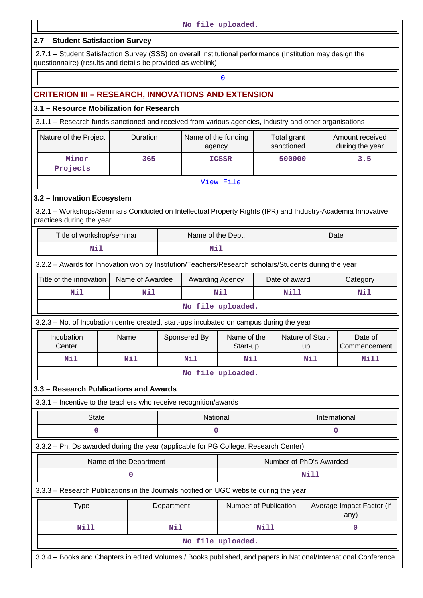## **2.7 – Student Satisfaction Survey**

 2.7.1 – Student Satisfaction Survey (SSS) on overall institutional performance (Institution may design the questionnaire) (results and details be provided as weblink)

|                                                                                                                                          |                        |          |              |                               | $\mathbf{0}$                                                                          |      |                               |      |                                    |  |
|------------------------------------------------------------------------------------------------------------------------------------------|------------------------|----------|--------------|-------------------------------|---------------------------------------------------------------------------------------|------|-------------------------------|------|------------------------------------|--|
| <b>CRITERION III – RESEARCH, INNOVATIONS AND EXTENSION</b>                                                                               |                        |          |              |                               |                                                                                       |      |                               |      |                                    |  |
| 3.1 - Resource Mobilization for Research                                                                                                 |                        |          |              |                               |                                                                                       |      |                               |      |                                    |  |
| 3.1.1 - Research funds sanctioned and received from various agencies, industry and other organisations                                   |                        |          |              |                               |                                                                                       |      |                               |      |                                    |  |
| Nature of the Project                                                                                                                    |                        | Duration |              | Name of the funding<br>agency |                                                                                       |      | Total grant<br>sanctioned     |      | Amount received<br>during the year |  |
| Minor<br>Projects                                                                                                                        |                        | 365      |              |                               | <b>ICSSR</b>                                                                          |      | 500000                        | 3.5  |                                    |  |
|                                                                                                                                          |                        |          |              |                               | <u>View File</u>                                                                      |      |                               |      |                                    |  |
| 3.2 - Innovation Ecosystem                                                                                                               |                        |          |              |                               |                                                                                       |      |                               |      |                                    |  |
| 3.2.1 - Workshops/Seminars Conducted on Intellectual Property Rights (IPR) and Industry-Academia Innovative<br>practices during the year |                        |          |              |                               |                                                                                       |      |                               |      |                                    |  |
| Title of workshop/seminar                                                                                                                |                        |          |              | Name of the Dept.             |                                                                                       |      |                               |      | Date                               |  |
| Nil                                                                                                                                      |                        |          |              | Nil                           |                                                                                       |      |                               |      |                                    |  |
| 3.2.2 - Awards for Innovation won by Institution/Teachers/Research scholars/Students during the year                                     |                        |          |              |                               |                                                                                       |      |                               |      |                                    |  |
| Title of the innovation                                                                                                                  | Name of Awardee        |          |              | Awarding Agency               |                                                                                       |      | Date of award                 |      | Category                           |  |
| Nil                                                                                                                                      |                        | Nil      | Nil          |                               | Nill                                                                                  |      | Nil                           |      |                                    |  |
|                                                                                                                                          |                        |          |              |                               | No file uploaded.                                                                     |      |                               |      |                                    |  |
| 3.2.3 – No. of Incubation centre created, start-ups incubated on campus during the year                                                  |                        |          |              |                               |                                                                                       |      |                               |      |                                    |  |
| Incubation<br>Center                                                                                                                     | Name                   |          | Sponsered By |                               | Name of the<br>Start-up                                                               |      | Nature of Start-<br><b>up</b> |      | Date of<br>Commencement            |  |
| Nil                                                                                                                                      | <b>Nil</b>             |          | Nil<br>Nil   |                               |                                                                                       | Nil  |                               | Nill |                                    |  |
|                                                                                                                                          |                        |          |              |                               | No file uploaded.                                                                     |      |                               |      |                                    |  |
| 3.3 - Research Publications and Awards                                                                                                   |                        |          |              |                               |                                                                                       |      |                               |      |                                    |  |
| 3.3.1 - Incentive to the teachers who receive recognition/awards                                                                         |                        |          |              |                               |                                                                                       |      |                               |      |                                    |  |
| <b>State</b>                                                                                                                             |                        |          |              | National                      |                                                                                       |      |                               |      | International                      |  |
| 0                                                                                                                                        |                        |          |              | 0                             |                                                                                       |      |                               |      | $\mathbf 0$                        |  |
| 3.3.2 - Ph. Ds awarded during the year (applicable for PG College, Research Center)                                                      |                        |          |              |                               |                                                                                       |      |                               |      |                                    |  |
|                                                                                                                                          | Name of the Department |          |              |                               |                                                                                       |      | Number of PhD's Awarded       |      |                                    |  |
|                                                                                                                                          | 0                      |          |              |                               |                                                                                       |      | Nill                          |      |                                    |  |
| 3.3.3 - Research Publications in the Journals notified on UGC website during the year                                                    |                        |          |              |                               |                                                                                       |      |                               |      |                                    |  |
| <b>Type</b>                                                                                                                              |                        |          | Department   |                               | Number of Publication                                                                 |      |                               |      | Average Impact Factor (if<br>any)  |  |
| <b>Nill</b>                                                                                                                              |                        |          | Nil          |                               |                                                                                       | Nill |                               |      | $\mathbf 0$                        |  |
|                                                                                                                                          |                        |          |              |                               | No file uploaded.                                                                     |      |                               |      |                                    |  |
|                                                                                                                                          |                        |          |              |                               | Chanters in aditad Valumes / Realco published, and noners in National/International C |      |                               |      |                                    |  |

ooks and Chapters in edited Volumes / Books published, and papers in National/International Conference!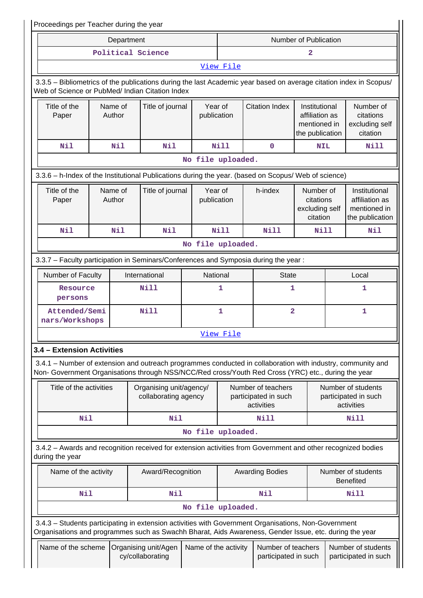| Proceedings per Teacher during the year                                                                                                                                                                            |  |                   |                                                 |                        |                                                          |                                            |                                                                    |                                                          |                                                                    |
|--------------------------------------------------------------------------------------------------------------------------------------------------------------------------------------------------------------------|--|-------------------|-------------------------------------------------|------------------------|----------------------------------------------------------|--------------------------------------------|--------------------------------------------------------------------|----------------------------------------------------------|--------------------------------------------------------------------|
|                                                                                                                                                                                                                    |  | Department        |                                                 |                        |                                                          |                                            | Number of Publication                                              |                                                          |                                                                    |
|                                                                                                                                                                                                                    |  |                   | Political Science                               |                        | 2                                                        |                                            |                                                                    |                                                          |                                                                    |
|                                                                                                                                                                                                                    |  |                   |                                                 |                        | View File                                                |                                            |                                                                    |                                                          |                                                                    |
| 3.3.5 - Bibliometrics of the publications during the last Academic year based on average citation index in Scopus/<br>Web of Science or PubMed/ Indian Citation Index                                              |  |                   |                                                 |                        |                                                          |                                            |                                                                    |                                                          |                                                                    |
| Title of the<br>Paper                                                                                                                                                                                              |  | Name of<br>Author | Title of journal                                | Year of<br>publication |                                                          | <b>Citation Index</b>                      | Institutional<br>affiliation as<br>mentioned in<br>the publication |                                                          | Number of<br>citations<br>excluding self<br>citation               |
| <b>Nil</b>                                                                                                                                                                                                         |  | Nil               | Nil                                             |                        | <b>Nill</b>                                              | $\mathbf 0$                                | <b>NIL</b>                                                         |                                                          | Nill                                                               |
|                                                                                                                                                                                                                    |  |                   |                                                 | No file uploaded.      |                                                          |                                            |                                                                    |                                                          |                                                                    |
| 3.3.6 - h-Index of the Institutional Publications during the year. (based on Scopus/ Web of science)                                                                                                               |  |                   |                                                 |                        |                                                          |                                            |                                                                    |                                                          |                                                                    |
| Title of the<br>Paper                                                                                                                                                                                              |  | Name of<br>Author | Title of journal                                | Year of<br>publication |                                                          | h-index                                    | Number of<br>citations<br>excluding self<br>citation               |                                                          | Institutional<br>affiliation as<br>mentioned in<br>the publication |
| <b>Nil</b>                                                                                                                                                                                                         |  | Nil               | Nil                                             |                        | <b>Nill</b>                                              | <b>Nill</b>                                | Nill                                                               |                                                          | Nil                                                                |
|                                                                                                                                                                                                                    |  |                   |                                                 | No file uploaded.      |                                                          |                                            |                                                                    |                                                          |                                                                    |
| 3.3.7 - Faculty participation in Seminars/Conferences and Symposia during the year:                                                                                                                                |  |                   |                                                 |                        |                                                          |                                            |                                                                    |                                                          |                                                                    |
| Number of Faculty                                                                                                                                                                                                  |  |                   | International                                   | National               |                                                          | <b>State</b>                               |                                                                    |                                                          | Local                                                              |
| Resource<br>persons                                                                                                                                                                                                |  |                   | Nill                                            |                        | 1                                                        |                                            | 1                                                                  |                                                          | 1                                                                  |
| Attended/Semi<br>nars/Workshops                                                                                                                                                                                    |  |                   | Nill                                            |                        | $\mathbf{1}$                                             | $\overline{\mathbf{2}}$                    |                                                                    |                                                          | $\mathbf{1}$                                                       |
|                                                                                                                                                                                                                    |  |                   |                                                 |                        | View File                                                |                                            |                                                                    |                                                          |                                                                    |
| 3.4 - Extension Activities                                                                                                                                                                                         |  |                   |                                                 |                        |                                                          |                                            |                                                                    |                                                          |                                                                    |
| 3.4.1 – Number of extension and outreach programmes conducted in collaboration with industry, community and<br>Non- Government Organisations through NSS/NCC/Red cross/Youth Red Cross (YRC) etc., during the year |  |                   |                                                 |                        |                                                          |                                            |                                                                    |                                                          |                                                                    |
| Title of the activities                                                                                                                                                                                            |  |                   | Organising unit/agency/<br>collaborating agency |                        | Number of teachers<br>participated in such<br>activities |                                            |                                                                    | Number of students<br>participated in such<br>activities |                                                                    |
| Nil                                                                                                                                                                                                                |  |                   | Nil                                             |                        |                                                          | Nill                                       |                                                                    | Nill                                                     |                                                                    |
|                                                                                                                                                                                                                    |  |                   |                                                 | No file uploaded.      |                                                          |                                            |                                                                    |                                                          |                                                                    |
| 3.4.2 - Awards and recognition received for extension activities from Government and other recognized bodies<br>during the year                                                                                    |  |                   |                                                 |                        |                                                          |                                            |                                                                    |                                                          |                                                                    |
| Name of the activity                                                                                                                                                                                               |  |                   | Award/Recognition                               |                        |                                                          | <b>Awarding Bodies</b>                     |                                                                    |                                                          | Number of students<br><b>Benefited</b>                             |
| <b>Nil</b>                                                                                                                                                                                                         |  |                   | Nil                                             |                        |                                                          | Nil                                        |                                                                    |                                                          | <b>Nill</b>                                                        |
|                                                                                                                                                                                                                    |  |                   |                                                 | No file uploaded.      |                                                          |                                            |                                                                    |                                                          |                                                                    |
| 3.4.3 - Students participating in extension activities with Government Organisations, Non-Government<br>Organisations and programmes such as Swachh Bharat, Aids Awareness, Gender Issue, etc. during the year     |  |                   |                                                 |                        |                                                          |                                            |                                                                    |                                                          |                                                                    |
| Name of the scheme                                                                                                                                                                                                 |  |                   | Organising unit/Agen<br>cy/collaborating        | Name of the activity   |                                                          | Number of teachers<br>participated in such |                                                                    |                                                          | Number of students<br>participated in such                         |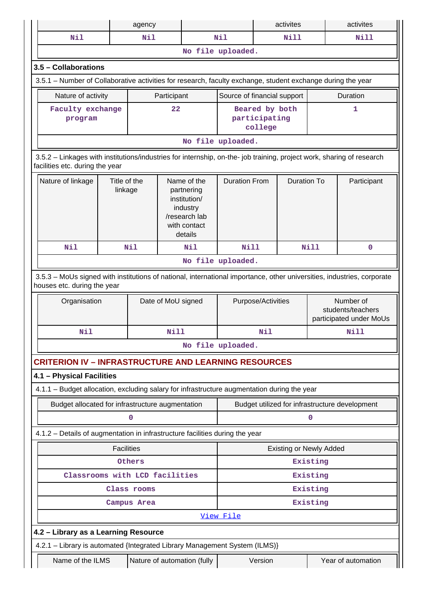|                                                                                                                                                          |                   | agency      |             |                                                                                                   |                             |                          | activites                      |             | activites                                      |
|----------------------------------------------------------------------------------------------------------------------------------------------------------|-------------------|-------------|-------------|---------------------------------------------------------------------------------------------------|-----------------------------|--------------------------|--------------------------------|-------------|------------------------------------------------|
| Nil                                                                                                                                                      |                   | Nil         |             |                                                                                                   | Nil                         |                          | Nill                           |             | <b>Nill</b>                                    |
|                                                                                                                                                          |                   |             |             |                                                                                                   | No file uploaded.           |                          |                                |             |                                                |
| 3.5 - Collaborations                                                                                                                                     |                   |             |             |                                                                                                   |                             |                          |                                |             |                                                |
| 3.5.1 - Number of Collaborative activities for research, faculty exchange, student exchange during the year                                              |                   |             |             |                                                                                                   |                             |                          |                                |             |                                                |
| Nature of activity                                                                                                                                       |                   |             | Participant |                                                                                                   | Source of financial support |                          |                                |             | Duration                                       |
| Faculty exchange                                                                                                                                         |                   |             | 22          |                                                                                                   |                             | Beared by both           |                                |             | 1                                              |
| program                                                                                                                                                  |                   |             |             |                                                                                                   |                             | participating<br>college |                                |             |                                                |
|                                                                                                                                                          |                   |             |             |                                                                                                   | No file uploaded.           |                          |                                |             |                                                |
| 3.5.2 - Linkages with institutions/industries for internship, on-the- job training, project work, sharing of research<br>facilities etc. during the year |                   |             |             |                                                                                                   |                             |                          |                                |             |                                                |
| Title of the<br>Nature of linkage<br>linkage                                                                                                             |                   |             |             | Name of the<br>partnering<br>institution/<br>industry<br>/research lab<br>with contact<br>details | <b>Duration From</b>        |                          | <b>Duration To</b>             |             | Participant                                    |
| <b>Nil</b>                                                                                                                                               |                   | <b>Nil</b>  |             | Nil                                                                                               | <b>Nill</b>                 |                          |                                | <b>Nill</b> | 0                                              |
|                                                                                                                                                          |                   |             |             |                                                                                                   | No file uploaded.           |                          |                                |             |                                                |
| 3.5.3 - MoUs signed with institutions of national, international importance, other universities, industries, corporate<br>houses etc. during the year    |                   |             |             |                                                                                                   |                             |                          |                                |             |                                                |
| Organisation<br>Date of MoU signed                                                                                                                       |                   |             |             |                                                                                                   | Purpose/Activities          |                          |                                |             | Number of                                      |
|                                                                                                                                                          |                   |             |             |                                                                                                   |                             |                          |                                |             | students/teachers<br>participated under MoUs   |
| Nil                                                                                                                                                      |                   |             | <b>Nill</b> |                                                                                                   |                             | Nil                      |                                |             | Nill                                           |
|                                                                                                                                                          |                   |             |             |                                                                                                   | No file uploaded.           |                          |                                |             |                                                |
| <b>CRITERION IV - INFRASTRUCTURE AND LEARNING RESOURCES</b>                                                                                              |                   |             |             |                                                                                                   |                             |                          |                                |             |                                                |
| 4.1 - Physical Facilities                                                                                                                                |                   |             |             |                                                                                                   |                             |                          |                                |             |                                                |
| 4.1.1 - Budget allocation, excluding salary for infrastructure augmentation during the year                                                              |                   |             |             |                                                                                                   |                             |                          |                                |             |                                                |
| Budget allocated for infrastructure augmentation                                                                                                         |                   |             |             |                                                                                                   |                             |                          |                                |             | Budget utilized for infrastructure development |
|                                                                                                                                                          |                   | $\mathbf 0$ |             |                                                                                                   |                             |                          |                                | 0           |                                                |
| 4.1.2 - Details of augmentation in infrastructure facilities during the year                                                                             |                   |             |             |                                                                                                   |                             |                          |                                |             |                                                |
|                                                                                                                                                          | <b>Facilities</b> |             |             |                                                                                                   |                             |                          | <b>Existing or Newly Added</b> |             |                                                |
|                                                                                                                                                          |                   | Others      |             |                                                                                                   |                             |                          |                                | Existing    |                                                |
| Classrooms with LCD facilities                                                                                                                           |                   |             |             |                                                                                                   |                             |                          |                                | Existing    |                                                |
|                                                                                                                                                          |                   | Class rooms |             |                                                                                                   |                             |                          |                                | Existing    |                                                |
|                                                                                                                                                          |                   | Campus Area |             |                                                                                                   |                             |                          |                                | Existing    |                                                |
|                                                                                                                                                          |                   |             |             |                                                                                                   | View File                   |                          |                                |             |                                                |
| 4.2 - Library as a Learning Resource                                                                                                                     |                   |             |             |                                                                                                   |                             |                          |                                |             |                                                |
| 4.2.1 - Library is automated {Integrated Library Management System (ILMS)}                                                                               |                   |             |             |                                                                                                   |                             |                          |                                |             |                                                |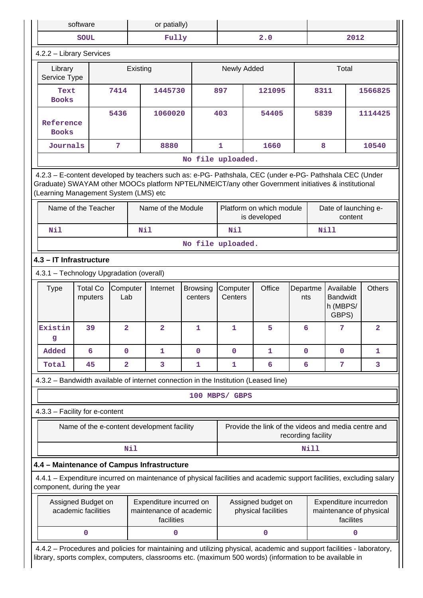|                                                                                                                                                                                                                                                         | software                                   |                         | or patially) |                                                                  |                            |                     |        |                                                     |                    |             |                                                   |                                                   |
|---------------------------------------------------------------------------------------------------------------------------------------------------------------------------------------------------------------------------------------------------------|--------------------------------------------|-------------------------|--------------|------------------------------------------------------------------|----------------------------|---------------------|--------|-----------------------------------------------------|--------------------|-------------|---------------------------------------------------|---------------------------------------------------|
|                                                                                                                                                                                                                                                         | <b>SOUL</b>                                |                         |              | Fully                                                            |                            |                     |        | 2.0                                                 |                    |             | 2012                                              |                                                   |
| 4.2.2 - Library Services                                                                                                                                                                                                                                |                                            |                         |              |                                                                  |                            |                     |        |                                                     |                    |             |                                                   |                                                   |
| Library<br>Service Type                                                                                                                                                                                                                                 |                                            |                         | Existing     |                                                                  |                            | Newly Added         |        |                                                     |                    |             | Total                                             |                                                   |
| Text<br><b>Books</b>                                                                                                                                                                                                                                    |                                            | 7414                    |              | 1445730                                                          |                            | 897                 | 121095 |                                                     |                    | 8311        |                                                   | 1566825                                           |
| Reference<br><b>Books</b>                                                                                                                                                                                                                               |                                            | 5436                    |              | 1060020                                                          |                            | 403                 |        | 54405                                               |                    | 5839        |                                                   | 1114425                                           |
| Journals                                                                                                                                                                                                                                                |                                            | 7                       |              | 8880                                                             |                            | 1                   |        | 1660                                                |                    | 8           |                                                   | 10540                                             |
|                                                                                                                                                                                                                                                         |                                            |                         |              |                                                                  | No file uploaded.          |                     |        |                                                     |                    |             |                                                   |                                                   |
| 4.2.3 - E-content developed by teachers such as: e-PG- Pathshala, CEC (under e-PG- Pathshala CEC (Under<br>Graduate) SWAYAM other MOOCs platform NPTEL/NMEICT/any other Government initiatives & institutional<br>(Learning Management System (LMS) etc |                                            |                         |              |                                                                  |                            |                     |        |                                                     |                    |             |                                                   |                                                   |
|                                                                                                                                                                                                                                                         | Name of the Teacher                        |                         |              | Name of the Module                                               |                            |                     |        | Platform on which module<br>is developed            |                    |             | Date of launching e-<br>content                   |                                                   |
| Nil                                                                                                                                                                                                                                                     |                                            |                         | Nil          |                                                                  |                            | Nil                 |        |                                                     |                    |             | Nill                                              |                                                   |
|                                                                                                                                                                                                                                                         |                                            |                         |              |                                                                  | No file uploaded.          |                     |        |                                                     |                    |             |                                                   |                                                   |
| 4.3 - IT Infrastructure                                                                                                                                                                                                                                 |                                            |                         |              |                                                                  |                            |                     |        |                                                     |                    |             |                                                   |                                                   |
| 4.3.1 - Technology Upgradation (overall)                                                                                                                                                                                                                |                                            |                         |              |                                                                  |                            |                     |        |                                                     |                    |             |                                                   |                                                   |
| <b>Type</b>                                                                                                                                                                                                                                             | <b>Total Co</b><br>mputers                 | Computer<br>Lab         |              | Internet                                                         | <b>Browsing</b><br>centers | Computer<br>Centers |        | Office                                              | Departme<br>nts    |             | Available<br><b>Bandwidt</b><br>h (MBPS/<br>GBPS) | <b>Others</b>                                     |
| Existin<br>g                                                                                                                                                                                                                                            | 39                                         | $\overline{2}$          |              | $\overline{2}$                                                   | 1                          | $\mathbf{1}$        |        | 5                                                   | 6                  |             | 7                                                 | 2                                                 |
| Added                                                                                                                                                                                                                                                   | 6                                          | $\mathbf{O}$            |              | $\mathbf{1}$                                                     | $\mathbf{0}$               | $\mathbf{O}$        |        | 1                                                   | 0                  |             | $\mathbf 0$                                       | 1                                                 |
| Total                                                                                                                                                                                                                                                   | 45                                         | $\overline{\mathbf{2}}$ |              | 3                                                                | 1                          | 1                   |        | 6                                                   | 6                  |             | 7                                                 | 3                                                 |
| 4.3.2 - Bandwidth available of internet connection in the Institution (Leased line)                                                                                                                                                                     |                                            |                         |              |                                                                  |                            |                     |        |                                                     |                    |             |                                                   |                                                   |
|                                                                                                                                                                                                                                                         |                                            |                         |              |                                                                  |                            | 100 MBPS/ GBPS      |        |                                                     |                    |             |                                                   |                                                   |
| 4.3.3 - Facility for e-content                                                                                                                                                                                                                          |                                            |                         |              |                                                                  |                            |                     |        |                                                     |                    |             |                                                   |                                                   |
|                                                                                                                                                                                                                                                         | Name of the e-content development facility |                         |              |                                                                  |                            |                     |        | Provide the link of the videos and media centre and | recording facility |             |                                                   |                                                   |
|                                                                                                                                                                                                                                                         |                                            | Nil                     |              |                                                                  |                            |                     |        |                                                     |                    | <b>Nill</b> |                                                   |                                                   |
| 4.4 - Maintenance of Campus Infrastructure                                                                                                                                                                                                              |                                            |                         |              |                                                                  |                            |                     |        |                                                     |                    |             |                                                   |                                                   |
| 4.4.1 - Expenditure incurred on maintenance of physical facilities and academic support facilities, excluding salary<br>component, during the year                                                                                                      |                                            |                         |              |                                                                  |                            |                     |        |                                                     |                    |             |                                                   |                                                   |
|                                                                                                                                                                                                                                                         | Assigned Budget on<br>academic facilities  |                         |              | Expenditure incurred on<br>maintenance of academic<br>facilities |                            |                     |        | Assigned budget on<br>physical facilities           |                    |             | facilites                                         | Expenditure incurredon<br>maintenance of physical |
|                                                                                                                                                                                                                                                         | 0                                          |                         |              | 0                                                                |                            |                     |        | 0                                                   |                    |             | 0                                                 |                                                   |
| 4.4.2 - Procedures and policies for maintaining and utilizing physical, academic and support facilities - laboratory,<br>library, sports complex, computers, classrooms etc. (maximum 500 words) (information to be available in                        |                                            |                         |              |                                                                  |                            |                     |        |                                                     |                    |             |                                                   |                                                   |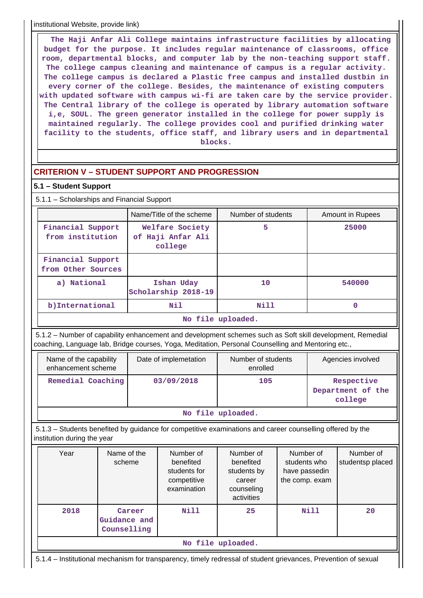institutional Website, provide link)

 **The Haji Anfar Ali College maintains infrastructure facilities by allocating budget for the purpose. It includes regular maintenance of classrooms, office room, departmental blocks, and computer lab by the non-teaching support staff. The college campus cleaning and maintenance of campus is a regular activity. The college campus is declared a Plastic free campus and installed dustbin in every corner of the college. Besides, the maintenance of existing computers with updated software with campus wi-fi are taken care by the service provider. The Central library of the college is operated by library automation software i,e, SOUL. The green generator installed in the college for power supply is maintained regularly. The college provides cool and purified drinking water facility to the students, office staff, and library users and in departmental blocks.**

# **CRITERION V – STUDENT SUPPORT AND PROGRESSION**

### **5.1 – Student Support**

5.1.1 – Scholarships and Financial Support

|                                         | Name/Title of the scheme                        | Number of students | Amount in Rupees |  |  |  |  |
|-----------------------------------------|-------------------------------------------------|--------------------|------------------|--|--|--|--|
| Financial Support<br>from institution   | Welfare Society<br>of Haji Anfar Ali<br>college | 5                  | 25000            |  |  |  |  |
| Financial Support<br>from Other Sources |                                                 |                    |                  |  |  |  |  |
| a) National                             | Ishan Uday<br>Scholarship 2018-19               | 10                 | 540000           |  |  |  |  |
| b)International                         | Nil                                             | Nill               | 0                |  |  |  |  |
| No file uploaded.                       |                                                 |                    |                  |  |  |  |  |

 5.1.2 – Number of capability enhancement and development schemes such as Soft skill development, Remedial coaching, Language lab, Bridge courses, Yoga, Meditation, Personal Counselling and Mentoring etc.,

| Name of the capability<br>enhancement scheme | Date of implemetation | Number of students<br>enrolled | Agencies involved                          |  |  |  |  |
|----------------------------------------------|-----------------------|--------------------------------|--------------------------------------------|--|--|--|--|
| Remedial Coaching                            | 03/09/2018            | 105                            | Respective<br>Department of the<br>college |  |  |  |  |
| No file uploaded.                            |                       |                                |                                            |  |  |  |  |

 5.1.3 – Students benefited by guidance for competitive examinations and career counselling offered by the institution during the year

| Year | Name of the<br>scheme                 | Number of<br>benefited<br>students for<br>competitive<br>examination | Number of<br>benefited<br>students by<br>career<br>counseling<br>activities | Number of<br>students who<br>have passedin<br>the comp. exam | Number of<br>studentsp placed |  |  |  |
|------|---------------------------------------|----------------------------------------------------------------------|-----------------------------------------------------------------------------|--------------------------------------------------------------|-------------------------------|--|--|--|
| 2018 | Career<br>Guidance and<br>Counselling | Nill                                                                 | 25                                                                          | Nill                                                         | 20                            |  |  |  |
|      | No file uploaded.                     |                                                                      |                                                                             |                                                              |                               |  |  |  |

5.1.4 – Institutional mechanism for transparency, timely redressal of student grievances, Prevention of sexual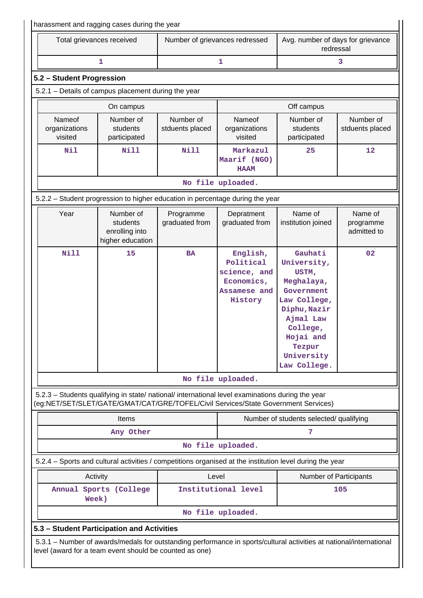| harassment and ragging cases during the year                                                                                                                                           |                                                             |                                |                                                                                |                                                                                                                                                                           |                                     |  |  |  |  |  |  |
|----------------------------------------------------------------------------------------------------------------------------------------------------------------------------------------|-------------------------------------------------------------|--------------------------------|--------------------------------------------------------------------------------|---------------------------------------------------------------------------------------------------------------------------------------------------------------------------|-------------------------------------|--|--|--|--|--|--|
| Total grievances received                                                                                                                                                              |                                                             | Number of grievances redressed |                                                                                | Avg. number of days for grievance<br>redressal                                                                                                                            |                                     |  |  |  |  |  |  |
|                                                                                                                                                                                        | 1                                                           |                                | $\mathbf{1}$                                                                   |                                                                                                                                                                           | 3                                   |  |  |  |  |  |  |
| 5.2 - Student Progression                                                                                                                                                              |                                                             |                                |                                                                                |                                                                                                                                                                           |                                     |  |  |  |  |  |  |
|                                                                                                                                                                                        | 5.2.1 - Details of campus placement during the year         |                                |                                                                                |                                                                                                                                                                           |                                     |  |  |  |  |  |  |
|                                                                                                                                                                                        | On campus                                                   |                                |                                                                                | Off campus                                                                                                                                                                |                                     |  |  |  |  |  |  |
| Nameof<br>organizations<br>visited                                                                                                                                                     | Number of<br>students<br>participated                       | Number of<br>stduents placed   | Nameof<br>organizations<br>visited                                             | Number of<br>students<br>participated                                                                                                                                     | Number of<br>stduents placed        |  |  |  |  |  |  |
| Nil                                                                                                                                                                                    | Nill                                                        | Nill                           | Markazul<br>Maarif (NGO)<br><b>HAAM</b>                                        | 25                                                                                                                                                                        | 12                                  |  |  |  |  |  |  |
|                                                                                                                                                                                        |                                                             |                                | No file uploaded.                                                              |                                                                                                                                                                           |                                     |  |  |  |  |  |  |
| 5.2.2 - Student progression to higher education in percentage during the year                                                                                                          |                                                             |                                |                                                                                |                                                                                                                                                                           |                                     |  |  |  |  |  |  |
| Year                                                                                                                                                                                   | Number of<br>students<br>enrolling into<br>higher education | Programme<br>graduated from    | Depratment<br>graduated from                                                   | Name of<br>institution joined                                                                                                                                             | Name of<br>programme<br>admitted to |  |  |  |  |  |  |
| <b>Nill</b>                                                                                                                                                                            | 15                                                          | <b>BA</b>                      | English,<br>Political<br>science, and<br>Economics,<br>Assamese and<br>History | Gauhati<br>University,<br>USTM,<br>Meghalaya,<br>Government<br>Law College,<br>Diphu, Nazir<br>Ajmal Law<br>College,<br>Hojai and<br>Tezpur<br>University<br>Law College. | 02                                  |  |  |  |  |  |  |
|                                                                                                                                                                                        |                                                             |                                | No file uploaded.                                                              |                                                                                                                                                                           |                                     |  |  |  |  |  |  |
| 5.2.3 – Students qualifying in state/ national/ international level examinations during the year<br>(eg:NET/SET/SLET/GATE/GMAT/CAT/GRE/TOFEL/Civil Services/State Government Services) |                                                             |                                |                                                                                |                                                                                                                                                                           |                                     |  |  |  |  |  |  |
|                                                                                                                                                                                        | Items                                                       |                                |                                                                                | Number of students selected/ qualifying                                                                                                                                   |                                     |  |  |  |  |  |  |
|                                                                                                                                                                                        | Any Other                                                   |                                |                                                                                | 7                                                                                                                                                                         |                                     |  |  |  |  |  |  |
|                                                                                                                                                                                        |                                                             |                                | No file uploaded.                                                              |                                                                                                                                                                           |                                     |  |  |  |  |  |  |
| 5.2.4 – Sports and cultural activities / competitions organised at the institution level during the year                                                                               |                                                             |                                |                                                                                |                                                                                                                                                                           |                                     |  |  |  |  |  |  |
| Activity                                                                                                                                                                               |                                                             | Level                          |                                                                                | <b>Number of Participants</b>                                                                                                                                             |                                     |  |  |  |  |  |  |
| Week)                                                                                                                                                                                  | Annual Sports (College                                      |                                | Institutional level                                                            |                                                                                                                                                                           | 105                                 |  |  |  |  |  |  |
|                                                                                                                                                                                        |                                                             |                                | No file uploaded.                                                              |                                                                                                                                                                           |                                     |  |  |  |  |  |  |
| 5.3 - Student Participation and Activities                                                                                                                                             |                                                             |                                |                                                                                |                                                                                                                                                                           |                                     |  |  |  |  |  |  |
| 5.3.1 – Number of awards/medals for outstanding performance in sports/cultural activities at national/international<br>level (award for a team event should be counted as one)         |                                                             |                                |                                                                                |                                                                                                                                                                           |                                     |  |  |  |  |  |  |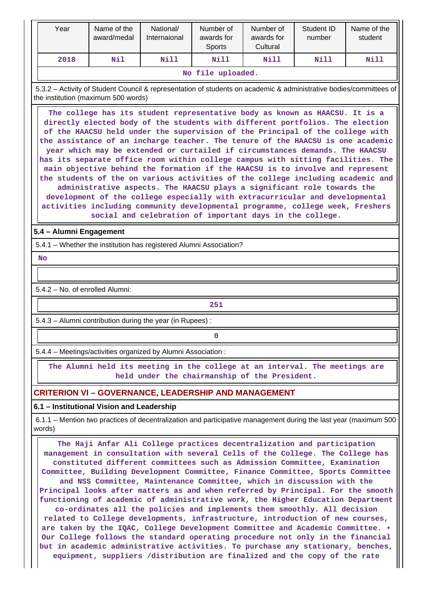| Year                                                                                                                                                                                                                                                                                                                                                                                                                                                                                                                                                                                                                                                                                                                                                                                                                                                                                                                                                                             | Name of the<br>award/medal                                                                                                                                                                                                                                                                                                                                                                                                                                                                                                                                                                                                                                                                                                                                                                                                                                                                               | National/<br>Internaional                     | Number of<br>awards for<br>Sports | Number of<br>awards for<br>Cultural | Student ID<br>number | Name of the<br>student                                                                                             |  |  |  |  |
|----------------------------------------------------------------------------------------------------------------------------------------------------------------------------------------------------------------------------------------------------------------------------------------------------------------------------------------------------------------------------------------------------------------------------------------------------------------------------------------------------------------------------------------------------------------------------------------------------------------------------------------------------------------------------------------------------------------------------------------------------------------------------------------------------------------------------------------------------------------------------------------------------------------------------------------------------------------------------------|----------------------------------------------------------------------------------------------------------------------------------------------------------------------------------------------------------------------------------------------------------------------------------------------------------------------------------------------------------------------------------------------------------------------------------------------------------------------------------------------------------------------------------------------------------------------------------------------------------------------------------------------------------------------------------------------------------------------------------------------------------------------------------------------------------------------------------------------------------------------------------------------------------|-----------------------------------------------|-----------------------------------|-------------------------------------|----------------------|--------------------------------------------------------------------------------------------------------------------|--|--|--|--|
| 2018                                                                                                                                                                                                                                                                                                                                                                                                                                                                                                                                                                                                                                                                                                                                                                                                                                                                                                                                                                             | Nil                                                                                                                                                                                                                                                                                                                                                                                                                                                                                                                                                                                                                                                                                                                                                                                                                                                                                                      | <b>Nill</b>                                   | Nill                              | Nill                                | Nill                 | Nill                                                                                                               |  |  |  |  |
|                                                                                                                                                                                                                                                                                                                                                                                                                                                                                                                                                                                                                                                                                                                                                                                                                                                                                                                                                                                  |                                                                                                                                                                                                                                                                                                                                                                                                                                                                                                                                                                                                                                                                                                                                                                                                                                                                                                          |                                               | No file uploaded.                 |                                     |                      |                                                                                                                    |  |  |  |  |
|                                                                                                                                                                                                                                                                                                                                                                                                                                                                                                                                                                                                                                                                                                                                                                                                                                                                                                                                                                                  | the institution (maximum 500 words)                                                                                                                                                                                                                                                                                                                                                                                                                                                                                                                                                                                                                                                                                                                                                                                                                                                                      |                                               |                                   |                                     |                      | 5.3.2 - Activity of Student Council & representation of students on academic & administrative bodies/committees of |  |  |  |  |
| The college has its student representative body as known as HAACSU. It is a<br>directly elected body of the students with different portfolios. The election<br>of the HAACSU held under the supervision of the Principal of the college with<br>the assistance of an incharge teacher. The tenure of the HAACSU is one academic<br>year which may be extended or curtailed if circumstances demands. The HAACSU<br>has its separate office room within college campus with sitting facilities. The<br>main objective behind the formation if the HAACSU is to involve and represent<br>the students of the on various activities of the college including academic and<br>administrative aspects. The HAACSU plays a significant role towards the<br>development of the college especially with extracurricular and developmental<br>activities including community developmental programme, college week, Freshers<br>social and celebration of important days in the college. |                                                                                                                                                                                                                                                                                                                                                                                                                                                                                                                                                                                                                                                                                                                                                                                                                                                                                                          |                                               |                                   |                                     |                      |                                                                                                                    |  |  |  |  |
| 5.4 - Alumni Engagement                                                                                                                                                                                                                                                                                                                                                                                                                                                                                                                                                                                                                                                                                                                                                                                                                                                                                                                                                          |                                                                                                                                                                                                                                                                                                                                                                                                                                                                                                                                                                                                                                                                                                                                                                                                                                                                                                          |                                               |                                   |                                     |                      |                                                                                                                    |  |  |  |  |
|                                                                                                                                                                                                                                                                                                                                                                                                                                                                                                                                                                                                                                                                                                                                                                                                                                                                                                                                                                                  | 5.4.1 - Whether the institution has registered Alumni Association?                                                                                                                                                                                                                                                                                                                                                                                                                                                                                                                                                                                                                                                                                                                                                                                                                                       |                                               |                                   |                                     |                      |                                                                                                                    |  |  |  |  |
| <b>No</b>                                                                                                                                                                                                                                                                                                                                                                                                                                                                                                                                                                                                                                                                                                                                                                                                                                                                                                                                                                        |                                                                                                                                                                                                                                                                                                                                                                                                                                                                                                                                                                                                                                                                                                                                                                                                                                                                                                          |                                               |                                   |                                     |                      |                                                                                                                    |  |  |  |  |
|                                                                                                                                                                                                                                                                                                                                                                                                                                                                                                                                                                                                                                                                                                                                                                                                                                                                                                                                                                                  |                                                                                                                                                                                                                                                                                                                                                                                                                                                                                                                                                                                                                                                                                                                                                                                                                                                                                                          |                                               |                                   |                                     |                      |                                                                                                                    |  |  |  |  |
| 5.4.2 - No. of enrolled Alumni:                                                                                                                                                                                                                                                                                                                                                                                                                                                                                                                                                                                                                                                                                                                                                                                                                                                                                                                                                  |                                                                                                                                                                                                                                                                                                                                                                                                                                                                                                                                                                                                                                                                                                                                                                                                                                                                                                          |                                               |                                   |                                     |                      |                                                                                                                    |  |  |  |  |
|                                                                                                                                                                                                                                                                                                                                                                                                                                                                                                                                                                                                                                                                                                                                                                                                                                                                                                                                                                                  |                                                                                                                                                                                                                                                                                                                                                                                                                                                                                                                                                                                                                                                                                                                                                                                                                                                                                                          |                                               | 251                               |                                     |                      |                                                                                                                    |  |  |  |  |
|                                                                                                                                                                                                                                                                                                                                                                                                                                                                                                                                                                                                                                                                                                                                                                                                                                                                                                                                                                                  | 5.4.3 - Alumni contribution during the year (in Rupees):                                                                                                                                                                                                                                                                                                                                                                                                                                                                                                                                                                                                                                                                                                                                                                                                                                                 |                                               |                                   |                                     |                      |                                                                                                                    |  |  |  |  |
|                                                                                                                                                                                                                                                                                                                                                                                                                                                                                                                                                                                                                                                                                                                                                                                                                                                                                                                                                                                  |                                                                                                                                                                                                                                                                                                                                                                                                                                                                                                                                                                                                                                                                                                                                                                                                                                                                                                          |                                               |                                   |                                     |                      |                                                                                                                    |  |  |  |  |
|                                                                                                                                                                                                                                                                                                                                                                                                                                                                                                                                                                                                                                                                                                                                                                                                                                                                                                                                                                                  | 5.4.4 - Meetings/activities organized by Alumni Association:                                                                                                                                                                                                                                                                                                                                                                                                                                                                                                                                                                                                                                                                                                                                                                                                                                             |                                               |                                   |                                     |                      |                                                                                                                    |  |  |  |  |
|                                                                                                                                                                                                                                                                                                                                                                                                                                                                                                                                                                                                                                                                                                                                                                                                                                                                                                                                                                                  | The Alumni held its meeting in the college at an interval. The meetings are                                                                                                                                                                                                                                                                                                                                                                                                                                                                                                                                                                                                                                                                                                                                                                                                                              | held under the chairmanship of the President. |                                   |                                     |                      |                                                                                                                    |  |  |  |  |
|                                                                                                                                                                                                                                                                                                                                                                                                                                                                                                                                                                                                                                                                                                                                                                                                                                                                                                                                                                                  | <b>CRITERION VI - GOVERNANCE, LEADERSHIP AND MANAGEMENT</b>                                                                                                                                                                                                                                                                                                                                                                                                                                                                                                                                                                                                                                                                                                                                                                                                                                              |                                               |                                   |                                     |                      |                                                                                                                    |  |  |  |  |
|                                                                                                                                                                                                                                                                                                                                                                                                                                                                                                                                                                                                                                                                                                                                                                                                                                                                                                                                                                                  | 6.1 - Institutional Vision and Leadership                                                                                                                                                                                                                                                                                                                                                                                                                                                                                                                                                                                                                                                                                                                                                                                                                                                                |                                               |                                   |                                     |                      |                                                                                                                    |  |  |  |  |
| words)                                                                                                                                                                                                                                                                                                                                                                                                                                                                                                                                                                                                                                                                                                                                                                                                                                                                                                                                                                           | 6.1.1 – Mention two practices of decentralization and participative management during the last year (maximum 500                                                                                                                                                                                                                                                                                                                                                                                                                                                                                                                                                                                                                                                                                                                                                                                         |                                               |                                   |                                     |                      |                                                                                                                    |  |  |  |  |
|                                                                                                                                                                                                                                                                                                                                                                                                                                                                                                                                                                                                                                                                                                                                                                                                                                                                                                                                                                                  | The Haji Anfar Ali College practices decentralization and participation<br>management in consultation with several Cells of the College. The College has<br>constituted different committees such as Admission Committee, Examination<br>Committee, Building Development Committee, Finance Committee, Sports Committee<br>and NSS Committee, Maintenance Committee, which in discussion with the<br>Principal looks after matters as and when referred by Principal. For the smooth<br>functioning of academic of administrative work, the Higher Education Department<br>co-ordinates all the policies and implements them smoothly. All decision<br>related to College developments, infrastructure, introduction of new courses,<br>are taken by the IQAC, College Development Committee and Academic Committee. .<br>Our College follows the standard operating procedure not only in the financial |                                               |                                   |                                     |                      |                                                                                                                    |  |  |  |  |

**but in academic administrative activities. To purchase any stationary, benches, equipment, suppliers /distribution are finalized and the copy of the rate**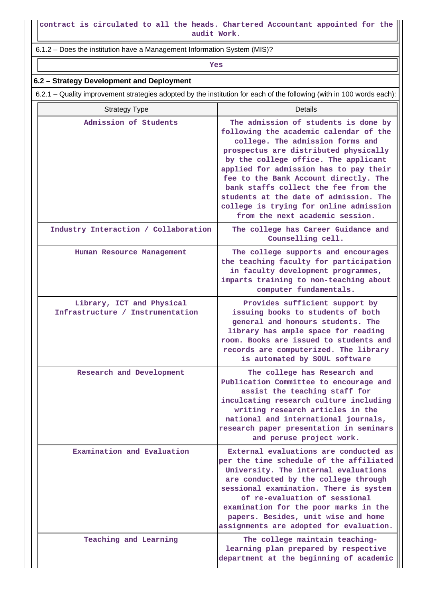6.1.2 – Does the institution have a Management Information System (MIS)?

*Yes* 

### **6.2 – Strategy Development and Deployment**

6.2.1 – Quality improvement strategies adopted by the institution for each of the following (with in 100 words each):

| <b>Strategy Type</b>                                          | Details                                                                                                                                                                                                                                                                                                                                                                                                                                               |
|---------------------------------------------------------------|-------------------------------------------------------------------------------------------------------------------------------------------------------------------------------------------------------------------------------------------------------------------------------------------------------------------------------------------------------------------------------------------------------------------------------------------------------|
| Admission of Students                                         | The admission of students is done by<br>following the academic calendar of the<br>college. The admission forms and<br>prospectus are distributed physically<br>by the college office. The applicant<br>applied for admission has to pay their<br>fee to the Bank Account directly. The<br>bank staffs collect the fee from the<br>students at the date of admission. The<br>college is trying for online admission<br>from the next academic session. |
| Industry Interaction / Collaboration                          | The college has Career Guidance and<br>Counselling cell.                                                                                                                                                                                                                                                                                                                                                                                              |
| Human Resource Management                                     | The college supports and encourages<br>the teaching faculty for participation<br>in faculty development programmes,<br>imparts training to non-teaching about<br>computer fundamentals.                                                                                                                                                                                                                                                               |
| Library, ICT and Physical<br>Infrastructure / Instrumentation | Provides sufficient support by<br>issuing books to students of both<br>general and honours students. The<br>library has ample space for reading<br>room. Books are issued to students and<br>records are computerized. The library<br>is automated by SOUL software                                                                                                                                                                                   |
| Research and Development                                      | The college has Research and<br>Publication Committee to encourage and<br>assist the teaching staff for<br>inculcating research culture including<br>writing research articles in the<br>national and international journals,<br>research paper presentation in seminars<br>and peruse project work.                                                                                                                                                  |
| Examination and Evaluation                                    | External evaluations are conducted as<br>per the time schedule of the affiliated<br>University. The internal evaluations<br>are conducted by the college through<br>sessional examination. There is system<br>of re-evaluation of sessional<br>examination for the poor marks in the<br>papers. Besides, unit wise and home<br>assignments are adopted for evaluation.                                                                                |
| Teaching and Learning                                         | The college maintain teaching-<br>learning plan prepared by respective<br>department at the beginning of academic                                                                                                                                                                                                                                                                                                                                     |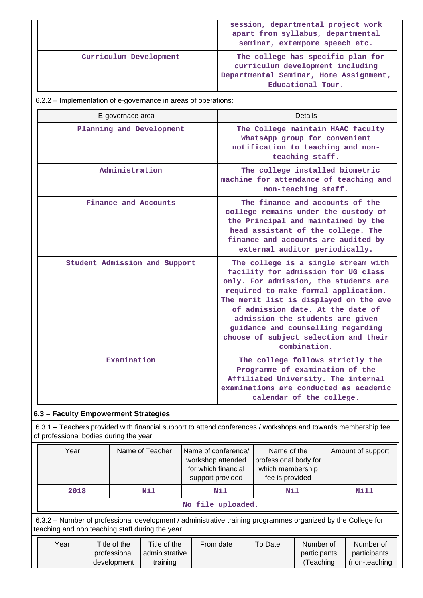|                        | session, departmental project work<br>apart from syllabus, departmental<br>seminar, extempore speech etc.                            |
|------------------------|--------------------------------------------------------------------------------------------------------------------------------------|
| Curriculum Development | The college has specific plan for<br>curriculum development including<br>Departmental Seminar, Home Assignment,<br>Educational Tour. |

6.2.2 – Implementation of e-governance in areas of operations:

| E-governace area              | Details                                                                                                                                                                                                                                                                                                                                                                       |
|-------------------------------|-------------------------------------------------------------------------------------------------------------------------------------------------------------------------------------------------------------------------------------------------------------------------------------------------------------------------------------------------------------------------------|
| Planning and Development      | The College maintain HAAC faculty<br>WhatsApp group for convenient<br>notification to teaching and non-<br>teaching staff.                                                                                                                                                                                                                                                    |
| Administration                | The college installed biometric<br>machine for attendance of teaching and<br>non-teaching staff.                                                                                                                                                                                                                                                                              |
| Finance and Accounts          | The finance and accounts of the<br>college remains under the custody of<br>the Principal and maintained by the<br>head assistant of the college. The<br>finance and accounts are audited by<br>external auditor periodically.                                                                                                                                                 |
| Student Admission and Support | The college is a single stream with<br>facility for admission for UG class<br>only. For admission, the students are<br>required to make formal application.<br>The merit list is displayed on the eve<br>of admission date. At the date of<br>admission the students are given<br>guidance and counselling regarding<br>choose of subject selection and their<br>combination. |
| Examination                   | The college follows strictly the<br>Programme of examination of the<br>Affiliated University. The internal<br>examinations are conducted as academic<br>calendar of the college.                                                                                                                                                                                              |

# **6.3 – Faculty Empowerment Strategies**

 6.3.1 – Teachers provided with financial support to attend conferences / workshops and towards membership fee of professional bodies during the year

| Year                                                                                                                                                            |                                             | Name of Teacher                            | Name of conference/<br>workshop attended<br>for which financial<br>support provided | Name of the<br>professional body for<br>which membership<br>fee is provided |                                        |  | Amount of support                          |  |  |
|-----------------------------------------------------------------------------------------------------------------------------------------------------------------|---------------------------------------------|--------------------------------------------|-------------------------------------------------------------------------------------|-----------------------------------------------------------------------------|----------------------------------------|--|--------------------------------------------|--|--|
| 2018                                                                                                                                                            |                                             | Nil                                        | Nil                                                                                 | Nil                                                                         |                                        |  | Nill                                       |  |  |
| No file uploaded.                                                                                                                                               |                                             |                                            |                                                                                     |                                                                             |                                        |  |                                            |  |  |
| 6.3.2 – Number of professional development / administrative training programmes organized by the College for<br>teaching and non teaching staff during the year |                                             |                                            |                                                                                     |                                                                             |                                        |  |                                            |  |  |
| Year                                                                                                                                                            | Title of the<br>professional<br>development | Title of the<br>administrative<br>training | From date                                                                           | To Date                                                                     | Number of<br>participants<br>(Teaching |  | Number of<br>participants<br>(non-teaching |  |  |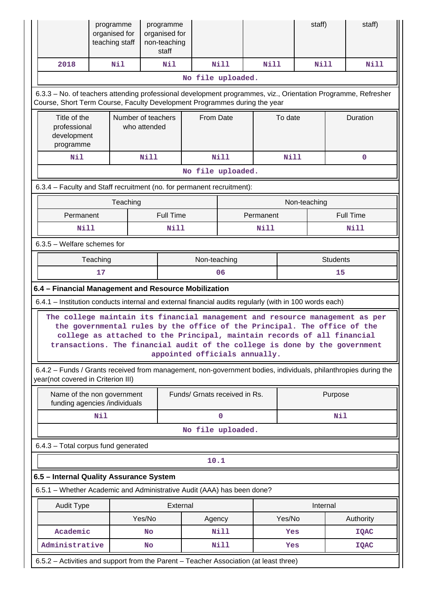|                                                                                                                                                                                                                                                                                                                                                                                                                                                              | programme<br>organised for<br>teaching staff |          |             | programme<br>organised for<br>non-teaching<br>staff |                               |             |           |          | staff)          |         | staff)                                                                                                         |
|--------------------------------------------------------------------------------------------------------------------------------------------------------------------------------------------------------------------------------------------------------------------------------------------------------------------------------------------------------------------------------------------------------------------------------------------------------------|----------------------------------------------|----------|-------------|-----------------------------------------------------|-------------------------------|-------------|-----------|----------|-----------------|---------|----------------------------------------------------------------------------------------------------------------|
| 2018                                                                                                                                                                                                                                                                                                                                                                                                                                                         |                                              | Nil      |             | Nil                                                 |                               | <b>Nill</b> | Nill      |          | Nill            |         | Nill                                                                                                           |
|                                                                                                                                                                                                                                                                                                                                                                                                                                                              |                                              |          |             |                                                     | No file uploaded.             |             |           |          |                 |         |                                                                                                                |
| Course, Short Term Course, Faculty Development Programmes during the year                                                                                                                                                                                                                                                                                                                                                                                    |                                              |          |             |                                                     |                               |             |           |          |                 |         | 6.3.3 - No. of teachers attending professional development programmes, viz., Orientation Programme, Refresher  |
| Title of the<br>Number of teachers<br>who attended<br>professional<br>development<br>programme                                                                                                                                                                                                                                                                                                                                                               |                                              |          | From Date   |                                                     |                               | To date     |           | Duration |                 |         |                                                                                                                |
| Nil                                                                                                                                                                                                                                                                                                                                                                                                                                                          |                                              |          | <b>Nill</b> |                                                     |                               | Nill        |           | Nill     |                 |         | $\mathbf 0$                                                                                                    |
|                                                                                                                                                                                                                                                                                                                                                                                                                                                              |                                              |          |             |                                                     | No file uploaded.             |             |           |          |                 |         |                                                                                                                |
| 6.3.4 – Faculty and Staff recruitment (no. for permanent recruitment):                                                                                                                                                                                                                                                                                                                                                                                       |                                              |          |             |                                                     |                               |             |           |          |                 |         |                                                                                                                |
|                                                                                                                                                                                                                                                                                                                                                                                                                                                              |                                              | Teaching |             |                                                     |                               |             |           |          | Non-teaching    |         |                                                                                                                |
| Permanent                                                                                                                                                                                                                                                                                                                                                                                                                                                    |                                              |          |             | <b>Full Time</b>                                    |                               |             | Permanent |          |                 |         | Full Time                                                                                                      |
| Nill                                                                                                                                                                                                                                                                                                                                                                                                                                                         |                                              |          |             | Nill                                                |                               |             | Nill      |          |                 |         | Nill                                                                                                           |
| $6.3.5$ – Welfare schemes for                                                                                                                                                                                                                                                                                                                                                                                                                                |                                              |          |             |                                                     |                               |             |           |          |                 |         |                                                                                                                |
|                                                                                                                                                                                                                                                                                                                                                                                                                                                              | Teaching                                     |          |             |                                                     | Non-teaching                  |             |           |          | <b>Students</b> |         |                                                                                                                |
|                                                                                                                                                                                                                                                                                                                                                                                                                                                              | 17                                           |          |             |                                                     |                               | 06          |           |          |                 | 15      |                                                                                                                |
| 6.4 - Financial Management and Resource Mobilization                                                                                                                                                                                                                                                                                                                                                                                                         |                                              |          |             |                                                     |                               |             |           |          |                 |         |                                                                                                                |
| 6.4.1 - Institution conducts internal and external financial audits regularly (with in 100 words each)<br>The college maintain its financial management and resource management as per<br>the governmental rules by the office of the Principal. The office of the<br>college as attached to the Principal, maintain records of all financial<br>transactions. The financial audit of the college is done by the government<br>appointed officials annually. |                                              |          |             |                                                     |                               |             |           |          |                 |         |                                                                                                                |
| year(not covered in Criterion III)                                                                                                                                                                                                                                                                                                                                                                                                                           |                                              |          |             |                                                     |                               |             |           |          |                 |         | 6.4.2 - Funds / Grants received from management, non-government bodies, individuals, philanthropies during the |
| Name of the non government<br>funding agencies /individuals                                                                                                                                                                                                                                                                                                                                                                                                  |                                              |          |             |                                                     | Funds/ Grnats received in Rs. |             |           |          |                 | Purpose |                                                                                                                |
|                                                                                                                                                                                                                                                                                                                                                                                                                                                              | Nil                                          |          |             |                                                     |                               | 0           |           |          |                 | Nil     |                                                                                                                |
|                                                                                                                                                                                                                                                                                                                                                                                                                                                              |                                              |          |             |                                                     | No file uploaded.             |             |           |          |                 |         |                                                                                                                |
| 6.4.3 - Total corpus fund generated                                                                                                                                                                                                                                                                                                                                                                                                                          |                                              |          |             |                                                     |                               |             |           |          |                 |         |                                                                                                                |
|                                                                                                                                                                                                                                                                                                                                                                                                                                                              |                                              |          |             |                                                     | 10.1                          |             |           |          |                 |         |                                                                                                                |
| 6.5 - Internal Quality Assurance System                                                                                                                                                                                                                                                                                                                                                                                                                      |                                              |          |             |                                                     |                               |             |           |          |                 |         |                                                                                                                |
| 6.5.1 - Whether Academic and Administrative Audit (AAA) has been done?                                                                                                                                                                                                                                                                                                                                                                                       |                                              |          |             |                                                     |                               |             |           |          |                 |         |                                                                                                                |
| <b>Audit Type</b>                                                                                                                                                                                                                                                                                                                                                                                                                                            |                                              |          |             | External                                            |                               |             |           |          | Internal        |         |                                                                                                                |
|                                                                                                                                                                                                                                                                                                                                                                                                                                                              |                                              |          | Yes/No      |                                                     | Agency                        |             |           | Yes/No   |                 |         | Authority                                                                                                      |
| Academic                                                                                                                                                                                                                                                                                                                                                                                                                                                     |                                              |          | No          |                                                     |                               | Nill        |           | Yes      |                 |         | <b>IQAC</b>                                                                                                    |
| Administrative                                                                                                                                                                                                                                                                                                                                                                                                                                               |                                              |          | No          |                                                     |                               | Nill        |           | Yes      |                 |         | <b>IQAC</b>                                                                                                    |
| 6.5.2 - Activities and support from the Parent - Teacher Association (at least three)                                                                                                                                                                                                                                                                                                                                                                        |                                              |          |             |                                                     |                               |             |           |          |                 |         |                                                                                                                |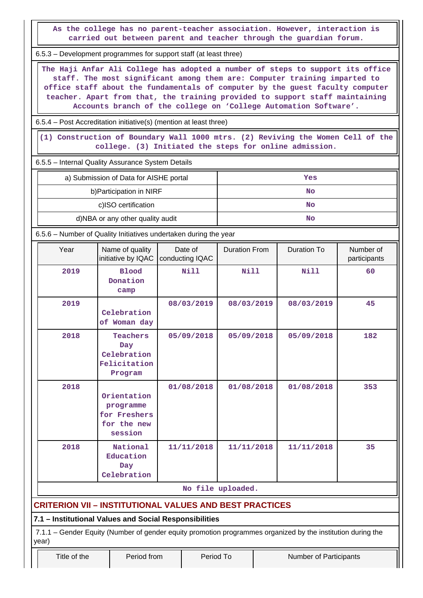**As the college has no parent-teacher association. However, interaction is carried out between parent and teacher through the guardian forum.**

6.5.3 – Development programmes for support staff (at least three)

 **The Haji Anfar Ali College has adopted a number of steps to support its office staff. The most significant among them are: Computer training imparted to office staff about the fundamentals of computer by the guest faculty computer teacher. Apart from that, the training provided to support staff maintaining Accounts branch of the college on 'College Automation Software'.**

6.5.4 – Post Accreditation initiative(s) (mention at least three)

 **(1) Construction of Boundary Wall 1000 mtrs. (2) Reviving the Women Cell of the college. (3) Initiated the steps for online admission.**

6.5.5 – Internal Quality Assurance System Details

| a) Submission of Data for AISHE portal | Yes |
|----------------------------------------|-----|
| b) Participation in NIRF               | No  |
| c)ISO certification                    | No  |
| d)NBA or any other quality audit       | No  |

6.5.6 – Number of Quality Initiatives undertaken during the year

|       | Year | Name of quality<br>initiative by IQAC                                                                       | Date of<br>conducting IQAC | <b>Duration From</b> | <b>Duration To</b> | Number of<br>participants |
|-------|------|-------------------------------------------------------------------------------------------------------------|----------------------------|----------------------|--------------------|---------------------------|
|       | 2019 | <b>Blood</b><br>Donation<br>camp                                                                            | <b>Nill</b>                | <b>Nill</b>          | <b>Nill</b>        | 60                        |
|       | 2019 | Celebration<br>of Woman day                                                                                 | 08/03/2019                 | 08/03/2019           | 08/03/2019         | 45                        |
|       | 2018 | Teachers<br>Day<br>Celebration<br>Felicitation<br>Program                                                   | 05/09/2018                 | 05/09/2018           | 05/09/2018         | 182                       |
|       | 2018 | Orientation<br>programme<br>for Freshers<br>for the new<br>session                                          | 01/08/2018                 | 01/08/2018           | 01/08/2018         | 353                       |
|       | 2018 | National<br>Education<br>Day<br>Celebration                                                                 | 11/11/2018                 | 11/11/2018           | 11/11/2018         | 35                        |
|       |      |                                                                                                             |                            | No file uploaded.    |                    |                           |
|       |      | <b>CRITERION VII - INSTITUTIONAL VALUES AND BEST PRACTICES</b>                                              |                            |                      |                    |                           |
|       |      | 7.1 - Institutional Values and Social Responsibilities                                                      |                            |                      |                    |                           |
| year) |      | 7.1.1 – Gender Equity (Number of gender equity promotion programmes organized by the institution during the |                            |                      |                    |                           |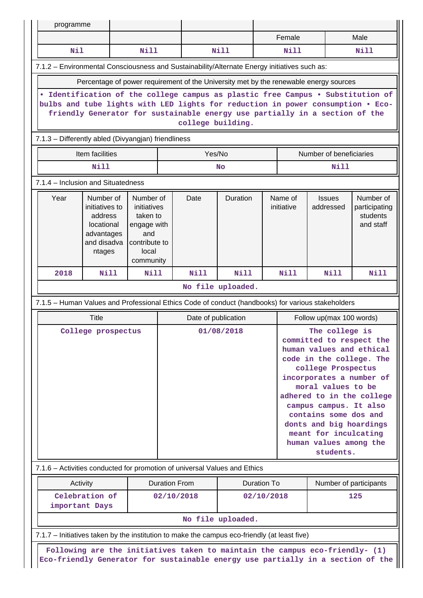| programme                                                                                    |                                                                                                                                                                                     |                         |                      |                     |                   |             |             |                                                                                       |                           |
|----------------------------------------------------------------------------------------------|-------------------------------------------------------------------------------------------------------------------------------------------------------------------------------------|-------------------------|----------------------|---------------------|-------------------|-------------|-------------|---------------------------------------------------------------------------------------|---------------------------|
|                                                                                              |                                                                                                                                                                                     |                         |                      |                     |                   |             | Female      |                                                                                       | Male                      |
| Nil                                                                                          |                                                                                                                                                                                     | <b>Nill</b>             |                      |                     | Nill              |             | <b>Nill</b> |                                                                                       | <b>Nill</b>               |
| 7.1.2 - Environmental Consciousness and Sustainability/Alternate Energy initiatives such as: |                                                                                                                                                                                     |                         |                      |                     |                   |             |             |                                                                                       |                           |
|                                                                                              |                                                                                                                                                                                     |                         |                      |                     |                   |             |             | Percentage of power requirement of the University met by the renewable energy sources |                           |
|                                                                                              |                                                                                                                                                                                     |                         |                      |                     |                   |             |             | . Identification of the college campus as plastic free Campus . Substitution of       |                           |
|                                                                                              | bulbs and tube lights with LED lights for reduction in power consumption . Eco-<br>friendly Generator for sustainable energy use partially in a section of the<br>college building. |                         |                      |                     |                   |             |             |                                                                                       |                           |
|                                                                                              | 7.1.3 - Differently abled (Divyangjan) friendliness                                                                                                                                 |                         |                      |                     |                   |             |             |                                                                                       |                           |
|                                                                                              | Item facilities                                                                                                                                                                     |                         |                      | Yes/No              |                   |             |             | Number of beneficiaries                                                               |                           |
|                                                                                              | Nill                                                                                                                                                                                |                         |                      |                     | No                |             |             | Nill                                                                                  |                           |
| 7.1.4 - Inclusion and Situatedness                                                           |                                                                                                                                                                                     |                         |                      |                     |                   |             |             |                                                                                       |                           |
| Year                                                                                         | Number of                                                                                                                                                                           | Number of               |                      | Date                | Duration          |             | Name of     | <b>Issues</b>                                                                         | Number of                 |
|                                                                                              | initiatives to<br>address                                                                                                                                                           | initiatives<br>taken to |                      |                     |                   |             | initiative  | addressed                                                                             | participating<br>students |
|                                                                                              | locational                                                                                                                                                                          | engage with             |                      |                     |                   |             |             |                                                                                       | and staff                 |
|                                                                                              | advantages<br>and disadva                                                                                                                                                           | and<br>contribute to    |                      |                     |                   |             |             |                                                                                       |                           |
|                                                                                              | ntages                                                                                                                                                                              | local<br>community      |                      |                     |                   |             |             |                                                                                       |                           |
| 2018                                                                                         | <b>Nill</b>                                                                                                                                                                         | Nill                    |                      | Nill                | <b>Nill</b>       |             | <b>Nill</b> | Nill                                                                                  | <b>Nill</b>               |
|                                                                                              |                                                                                                                                                                                     |                         |                      |                     | No file uploaded. |             |             |                                                                                       |                           |
|                                                                                              | 7.1.5 - Human Values and Professional Ethics Code of conduct (handbooks) for various stakeholders                                                                                   |                         |                      |                     |                   |             |             |                                                                                       |                           |
|                                                                                              |                                                                                                                                                                                     |                         |                      |                     |                   |             |             |                                                                                       |                           |
|                                                                                              | <b>Title</b>                                                                                                                                                                        |                         |                      | Date of publication |                   |             |             | Follow up(max 100 words)                                                              |                           |
|                                                                                              | College prospectus                                                                                                                                                                  |                         |                      |                     | 01/08/2018        |             |             | The college is                                                                        |                           |
|                                                                                              |                                                                                                                                                                                     |                         |                      |                     |                   |             |             | committed to respect the                                                              |                           |
|                                                                                              |                                                                                                                                                                                     |                         |                      |                     |                   |             |             | human values and ethical<br>code in the college. The                                  |                           |
|                                                                                              |                                                                                                                                                                                     |                         |                      |                     |                   |             |             | college Prospectus                                                                    |                           |
|                                                                                              |                                                                                                                                                                                     |                         |                      |                     |                   |             |             | incorporates a number of<br>moral values to be                                        |                           |
|                                                                                              |                                                                                                                                                                                     |                         |                      |                     |                   |             |             | adhered to in the college<br>campus campus. It also                                   |                           |
|                                                                                              |                                                                                                                                                                                     |                         |                      |                     |                   |             |             | contains some dos and                                                                 |                           |
|                                                                                              |                                                                                                                                                                                     |                         |                      |                     |                   |             |             | donts and big hoardings<br>meant for inculcating                                      |                           |
|                                                                                              |                                                                                                                                                                                     |                         |                      |                     |                   |             |             | human values among the<br>students.                                                   |                           |
| 7.1.6 – Activities conducted for promotion of universal Values and Ethics                    |                                                                                                                                                                                     |                         |                      |                     |                   |             |             |                                                                                       |                           |
|                                                                                              | Activity                                                                                                                                                                            |                         | <b>Duration From</b> |                     |                   | Duration To |             | Number of participants                                                                |                           |
|                                                                                              | Celebration of<br>important Days                                                                                                                                                    |                         | 02/10/2018           |                     |                   | 02/10/2018  |             |                                                                                       | 125                       |
|                                                                                              |                                                                                                                                                                                     |                         |                      |                     | No file uploaded. |             |             |                                                                                       |                           |
| 7.1.7 – Initiatives taken by the institution to make the campus eco-friendly (at least five) |                                                                                                                                                                                     |                         |                      |                     |                   |             |             |                                                                                       |                           |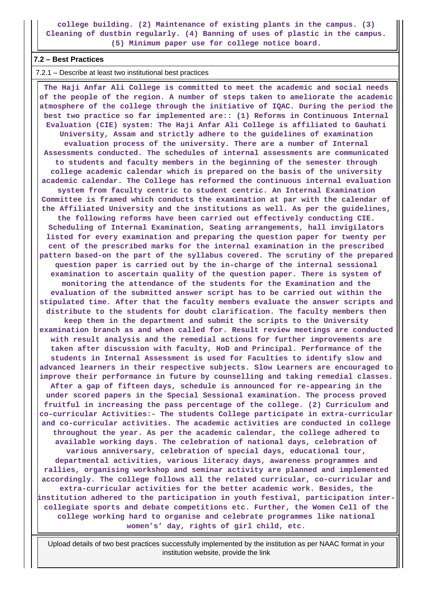**college building. (2) Maintenance of existing plants in the campus. (3) Cleaning of dustbin regularly. (4) Banning of uses of plastic in the campus. (5) Minimum paper use for college notice board.**

#### **7.2 – Best Practices**

7.2.1 – Describe at least two institutional best practices

 **The Haji Anfar Ali College is committed to meet the academic and social needs of the people of the region. A number of steps taken to ameliorate the academic atmosphere of the college through the initiative of IQAC. During the period the best two practice so far implemented are:: (1) Reforms in Continuous Internal Evaluation (CIE) system: The Haji Anfar Ali College is affiliated to Gauhati University, Assam and strictly adhere to the guidelines of examination evaluation process of the university. There are a number of Internal Assessments conducted. The schedules of internal assessments are communicated to students and faculty members in the beginning of the semester through college academic calendar which is prepared on the basis of the university academic calendar. The College has reformed the continuous internal evaluation system from faculty centric to student centric. An Internal Examination Committee is framed which conducts the examination at par with the calendar of the Affiliated University and the institutions as well. As per the guidelines, the following reforms have been carried out effectively conducting CIE. Scheduling of Internal Examination, Seating arrangements, hall invigilators listed for every examination and preparing the question paper for twenty per cent of the prescribed marks for the internal examination in the prescribed pattern based-on the part of the syllabus covered. The scrutiny of the prepared question paper is carried out by the in-charge of the internal sessional examination to ascertain quality of the question paper. There is system of monitoring the attendance of the students for the Examination and the evaluation of the submitted answer script has to be carried out within the stipulated time. After that the faculty members evaluate the answer scripts and distribute to the students for doubt clarification. The faculty members then keep them in the department and submit the scripts to the University examination branch as and when called for. Result review meetings are conducted with result analysis and the remedial actions for further improvements are taken after discussion with faculty, HoD and Principal. Performance of the students in Internal Assessment is used for Faculties to identify slow and advanced learners in their respective subjects. Slow Learners are encouraged to improve their performance in future by counselling and taking remedial classes. After a gap of fifteen days, schedule is announced for re-appearing in the under scored papers in the Special Sessional examination. The process proved fruitful in increasing the pass percentage of the college. (2) Curriculum and co-curricular Activities:- The students College participate in extra-curricular and co-curricular activities. The academic activities are conducted in college throughout the year. As per the academic calendar, the college adhered to available working days. The celebration of national days, celebration of various anniversary, celebration of special days, educational tour, departmental activities, various literacy days, awareness programmes and rallies, organising workshop and seminar activity are planned and implemented accordingly. The college follows all the related curricular, co-curricular and extra-curricular activities for the better academic work. Besides, the institution adhered to the participation in youth festival, participation intercollegiate sports and debate competitions etc. Further, the Women Cell of the college working hard to organise and celebrate programmes like national women's' day, rights of girl child, etc.**

 Upload details of two best practices successfully implemented by the institution as per NAAC format in your institution website, provide the link